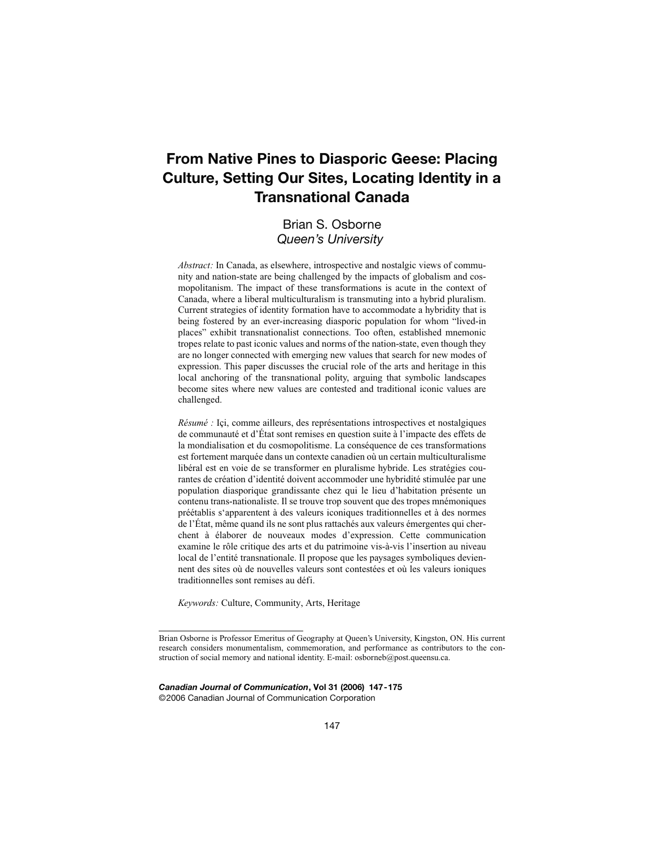# **From Native Pines to Diasporic Geese: Placing Culture, Setting Our Sites, Locating Identity in a Transnational Canada**

# Brian S. Osborne *Queen's University*

*Abstract:* In Canada, as elsewhere, introspective and nostalgic views of community and nation-state are being challenged by the impacts of globalism and cosmopolitanism. The impact of these transformations is acute in the context of Canada, where a liberal multiculturalism is transmuting into a hybrid pluralism. Current strategies of identity formation have to accommodate a hybridity that is being fostered by an ever-increasing diasporic population for whom "lived-in places" exhibit transnationalist connections. Too often, established mnemonic tropes relate to past iconic values and norms of the nation-state, even though they are no longer connected with emerging new values that search for new modes of expression. This paper discusses the crucial role of the arts and heritage in this local anchoring of the transnational polity, arguing that symbolic landscapes become sites where new values are contested and traditional iconic values are challenged.

*Résumé :* Içi, comme ailleurs, des représentations introspectives et nostalgiques de communauté et d'État sont remises en question suite à l'impacte des effets de la mondialisation et du cosmopolitisme. La conséquence de ces transformations est fortement marquée dans un contexte canadien où un certain multiculturalisme libéral est en voie de se transformer en pluralisme hybride. Les stratégies courantes de création d'identité doivent accommoder une hybridité stimulée par une population diasporique grandissante chez qui le lieu d'habitation présente un contenu trans-nationaliste. Il se trouve trop souvent que des tropes mnémoniques préétablis s'apparentent à des valeurs iconiques traditionnelles et à des normes de l'État, même quand ils ne sont plus rattachés aux valeurs émergentes qui cherchent à élaborer de nouveaux modes d'expression. Cette communication examine le rôle critique des arts et du patrimoine vis-à-vis l'insertion au niveau local de l'entité transnationale. Il propose que les paysages symboliques deviennent des sites où de nouvelles valeurs sont contestées et où les valeurs ioniques traditionnelles sont remises au défi.

*Keywords:* Culture, Community, Arts, Heritage

*Canadian Journal of Communication***, Vol 31 (2006) 147-175** ©2006 Canadian Journal of Communication Corporation

Brian Osborne is Professor Emeritus of Geography at Queen's University, Kingston, ON. His current research considers monumentalism, commemoration, and performance as contributors to the construction of social memory and national identity. E-mail: osborneb@post.queensu.ca.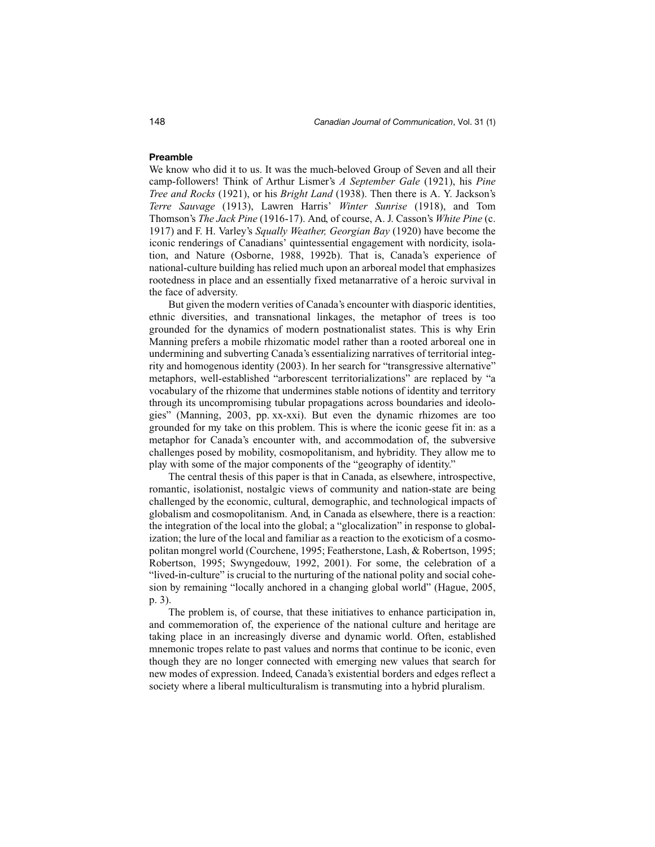# **Preamble**

We know who did it to us. It was the much-beloved Group of Seven and all their camp-followers! Think of Arthur Lismer's *A September Gale* (1921), his *Pine Tree and Rocks* (1921), or his *Bright Land* (1938). Then there is A. Y. Jackson's *Terre Sauvage* (1913), Lawren Harris' *Winter Sunrise* (1918), and Tom Thomson's *The Jack Pine* (1916-17). And, of course, A. J. Casson's *White Pine* (c. 1917) and F. H. Varley's *Squally Weather, Georgian Bay* (1920) have become the iconic renderings of Canadians' quintessential engagement with nordicity, isolation, and Nature (Osborne, 1988, 1992b). That is, Canada's experience of national-culture building has relied much upon an arboreal model that emphasizes rootedness in place and an essentially fixed metanarrative of a heroic survival in the face of adversity.

But given the modern verities of Canada's encounter with diasporic identities, ethnic diversities, and transnational linkages, the metaphor of trees is too grounded for the dynamics of modern postnationalist states. This is why Erin Manning prefers a mobile rhizomatic model rather than a rooted arboreal one in undermining and subverting Canada's essentializing narratives of territorial integrity and homogenous identity (2003). In her search for "transgressive alternative" metaphors, well-established "arborescent territorializations" are replaced by "a vocabulary of the rhizome that undermines stable notions of identity and territory through its uncompromising tubular propagations across boundaries and ideologies" (Manning, 2003, pp. xx-xxi). But even the dynamic rhizomes are too grounded for my take on this problem. This is where the iconic geese fit in: as a metaphor for Canada's encounter with, and accommodation of, the subversive challenges posed by mobility, cosmopolitanism, and hybridity. They allow me to play with some of the major components of the "geography of identity."

The central thesis of this paper is that in Canada, as elsewhere, introspective, romantic, isolationist, nostalgic views of community and nation-state are being challenged by the economic, cultural, demographic, and technological impacts of globalism and cosmopolitanism. And, in Canada as elsewhere, there is a reaction: the integration of the local into the global; a "glocalization" in response to globalization; the lure of the local and familiar as a reaction to the exoticism of a cosmopolitan mongrel world (Courchene, 1995; Featherstone, Lash, & Robertson, 1995; Robertson, 1995; Swyngedouw, 1992, 2001). For some, the celebration of a "lived-in-culture" is crucial to the nurturing of the national polity and social cohesion by remaining "locally anchored in a changing global world" (Hague, 2005, p. 3).

The problem is, of course, that these initiatives to enhance participation in, and commemoration of, the experience of the national culture and heritage are taking place in an increasingly diverse and dynamic world. Often, established mnemonic tropes relate to past values and norms that continue to be iconic, even though they are no longer connected with emerging new values that search for new modes of expression. Indeed, Canada's existential borders and edges reflect a society where a liberal multiculturalism is transmuting into a hybrid pluralism.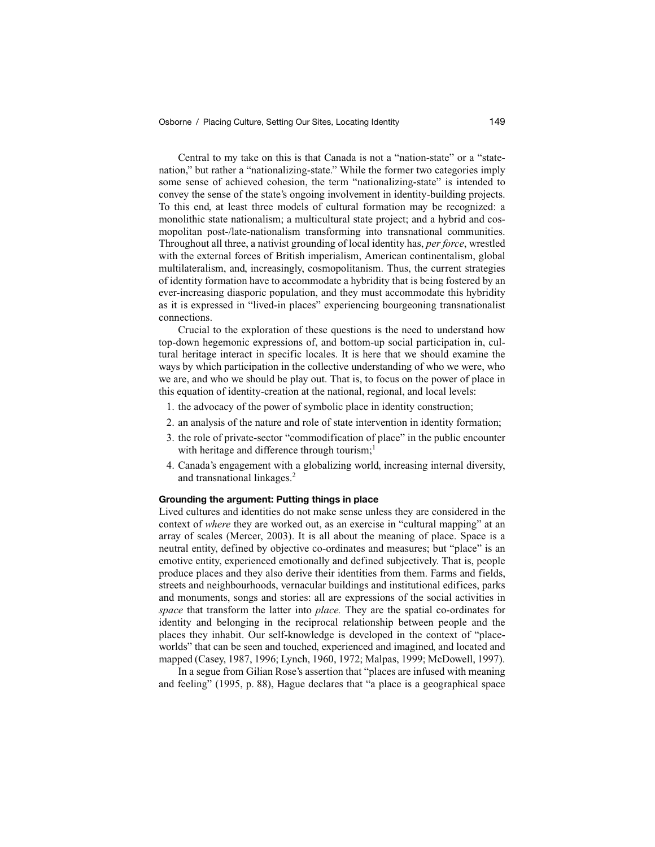Central to my take on this is that Canada is not a "nation-state" or a "statenation," but rather a "nationalizing-state." While the former two categories imply some sense of achieved cohesion, the term "nationalizing-state" is intended to convey the sense of the state's ongoing involvement in identity-building projects. To this end, at least three models of cultural formation may be recognized: a monolithic state nationalism; a multicultural state project; and a hybrid and cosmopolitan post-/late-nationalism transforming into transnational communities. Throughout all three, a nativist grounding of local identity has, *per force*, wrestled with the external forces of British imperialism, American continentalism, global multilateralism, and, increasingly, cosmopolitanism. Thus, the current strategies of identity formation have to accommodate a hybridity that is being fostered by an ever-increasing diasporic population, and they must accommodate this hybridity as it is expressed in "lived-in places" experiencing bourgeoning transnationalist connections.

Crucial to the exploration of these questions is the need to understand how top-down hegemonic expressions of, and bottom-up social participation in, cultural heritage interact in specific locales. It is here that we should examine the ways by which participation in the collective understanding of who we were, who we are, and who we should be play out. That is, to focus on the power of place in this equation of identity-creation at the national, regional, and local levels:

- 1. the advocacy of the power of symbolic place in identity construction;
- 2. an analysis of the nature and role of state intervention in identity formation;
- 3. the role of private-sector "commodification of place" in the public encounter with heritage and difference through tourism;<sup>1</sup>
- 4. Canada's engagement with a globalizing world, increasing internal diversity, and transnational linkages.2

## **Grounding the argument: Putting things in place**

Lived cultures and identities do not make sense unless they are considered in the context of *where* they are worked out, as an exercise in "cultural mapping" at an array of scales (Mercer, 2003). It is all about the meaning of place. Space is a neutral entity, defined by objective co-ordinates and measures; but "place" is an emotive entity, experienced emotionally and defined subjectively. That is, people produce places and they also derive their identities from them. Farms and fields, streets and neighbourhoods, vernacular buildings and institutional edifices, parks and monuments, songs and stories: all are expressions of the social activities in *space* that transform the latter into *place.* They are the spatial co-ordinates for identity and belonging in the reciprocal relationship between people and the places they inhabit. Our self-knowledge is developed in the context of "placeworlds" that can be seen and touched, experienced and imagined, and located and mapped (Casey, 1987, 1996; Lynch, 1960, 1972; Malpas, 1999; McDowell, 1997).

In a segue from Gilian Rose's assertion that "places are infused with meaning and feeling" (1995, p. 88), Hague declares that "a place is a geographical space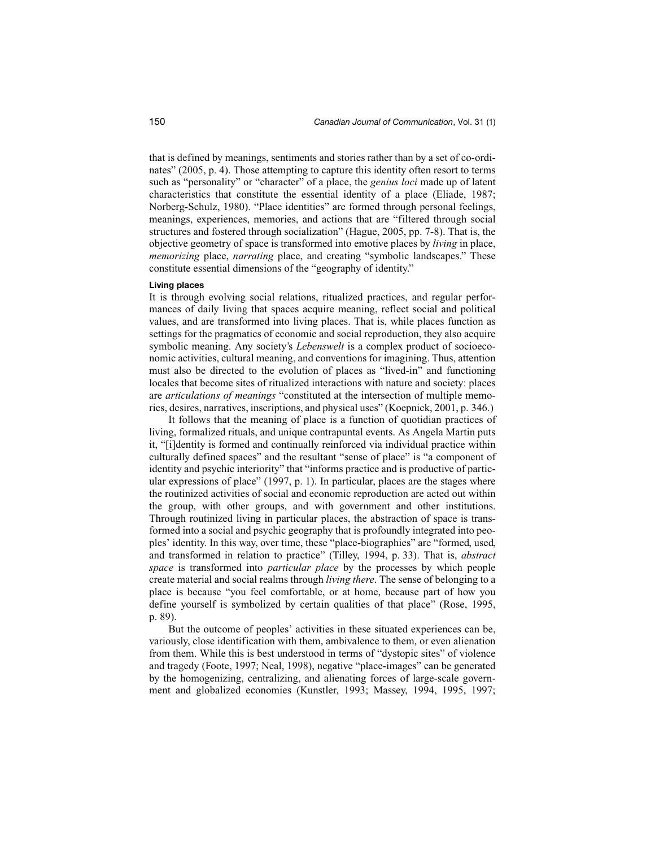that is defined by meanings, sentiments and stories rather than by a set of co-ordinates" (2005, p. 4). Those attempting to capture this identity often resort to terms such as "personality" or "character" of a place, the *genius loci* made up of latent characteristics that constitute the essential identity of a place (Eliade, 1987; Norberg-Schulz, 1980). "Place identities" are formed through personal feelings, meanings, experiences, memories, and actions that are "filtered through social structures and fostered through socialization" (Hague, 2005, pp. 7-8). That is, the objective geometry of space is transformed into emotive places by *living* in place, *memorizing* place, *narrating* place, and creating "symbolic landscapes." These constitute essential dimensions of the "geography of identity."

#### **Living places**

It is through evolving social relations, ritualized practices, and regular performances of daily living that spaces acquire meaning, reflect social and political values, and are transformed into living places. That is, while places function as settings for the pragmatics of economic and social reproduction, they also acquire symbolic meaning. Any society's *Lebenswelt* is a complex product of socioeconomic activities, cultural meaning, and conventions for imagining. Thus, attention must also be directed to the evolution of places as "lived-in" and functioning locales that become sites of ritualized interactions with nature and society: places are *articulations of meanings* "constituted at the intersection of multiple memories, desires, narratives, inscriptions, and physical uses" (Koepnick, 2001, p. 346.)

It follows that the meaning of place is a function of quotidian practices of living, formalized rituals, and unique contrapuntal events. As Angela Martin puts it, "[i]dentity is formed and continually reinforced via individual practice within culturally defined spaces" and the resultant "sense of place" is "a component of identity and psychic interiority" that "informs practice and is productive of particular expressions of place" (1997, p. 1). In particular, places are the stages where the routinized activities of social and economic reproduction are acted out within the group, with other groups, and with government and other institutions. Through routinized living in particular places, the abstraction of space is transformed into a social and psychic geography that is profoundly integrated into peoples' identity. In this way, over time, these "place-biographies" are "formed, used, and transformed in relation to practice" (Tilley, 1994, p. 33). That is, *abstract space* is transformed into *particular place* by the processes by which people create material and social realms through *living there*. The sense of belonging to a place is because "you feel comfortable, or at home, because part of how you define yourself is symbolized by certain qualities of that place" (Rose, 1995, p. 89).

But the outcome of peoples' activities in these situated experiences can be, variously, close identification with them, ambivalence to them, or even alienation from them. While this is best understood in terms of "dystopic sites" of violence and tragedy (Foote, 1997; Neal, 1998), negative "place-images" can be generated by the homogenizing, centralizing, and alienating forces of large-scale government and globalized economies (Kunstler, 1993; Massey, 1994, 1995, 1997;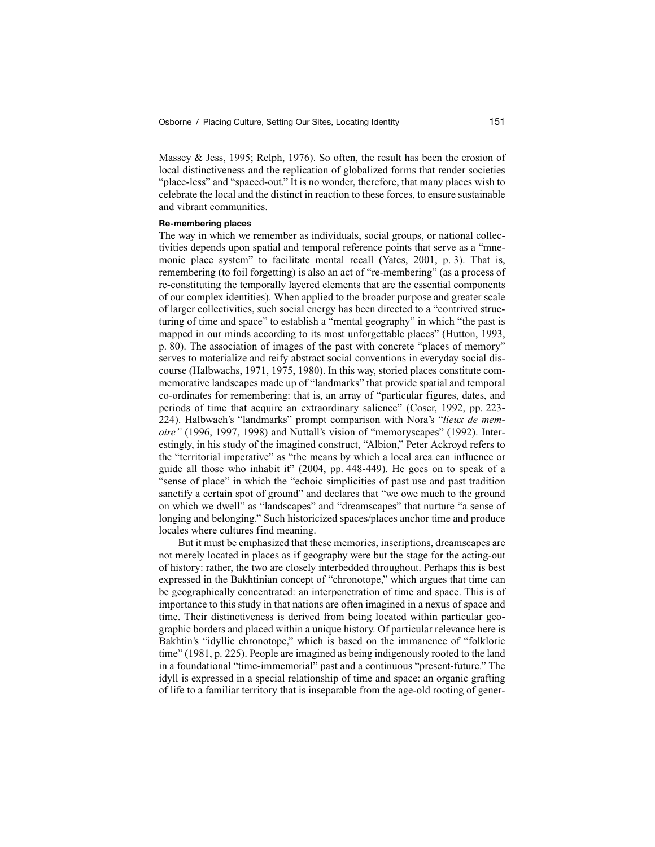Massey & Jess, 1995; Relph, 1976). So often, the result has been the erosion of local distinctiveness and the replication of globalized forms that render societies "place-less" and "spaced-out." It is no wonder, therefore, that many places wish to celebrate the local and the distinct in reaction to these forces, to ensure sustainable and vibrant communities.

#### **Re-membering places**

The way in which we remember as individuals, social groups, or national collectivities depends upon spatial and temporal reference points that serve as a "mnemonic place system" to facilitate mental recall (Yates, 2001, p. 3). That is, remembering (to foil forgetting) is also an act of "re-membering" (as a process of re-constituting the temporally layered elements that are the essential components of our complex identities). When applied to the broader purpose and greater scale of larger collectivities, such social energy has been directed to a "contrived structuring of time and space" to establish a "mental geography" in which "the past is mapped in our minds according to its most unforgettable places" (Hutton, 1993, p. 80). The association of images of the past with concrete "places of memory" serves to materialize and reify abstract social conventions in everyday social discourse (Halbwachs, 1971, 1975, 1980). In this way, storied places constitute commemorative landscapes made up of "landmarks" that provide spatial and temporal co-ordinates for remembering: that is, an array of "particular figures, dates, and periods of time that acquire an extraordinary salience" (Coser, 1992, pp. 223- 224). Halbwach's "landmarks" prompt comparison with Nora's "*lieux de memoire"* (1996, 1997, 1998) and Nuttall's vision of "memoryscapes" (1992). Interestingly, in his study of the imagined construct, "Albion," Peter Ackroyd refers to the "territorial imperative" as "the means by which a local area can influence or guide all those who inhabit it" (2004, pp. 448-449). He goes on to speak of a "sense of place" in which the "echoic simplicities of past use and past tradition sanctify a certain spot of ground" and declares that "we owe much to the ground on which we dwell" as "landscapes" and "dreamscapes" that nurture "a sense of longing and belonging." Such historicized spaces/places anchor time and produce locales where cultures find meaning.

But it must be emphasized that these memories, inscriptions, dreamscapes are not merely located in places as if geography were but the stage for the acting-out of history: rather, the two are closely interbedded throughout. Perhaps this is best expressed in the Bakhtinian concept of "chronotope," which argues that time can be geographically concentrated: an interpenetration of time and space. This is of importance to this study in that nations are often imagined in a nexus of space and time. Their distinctiveness is derived from being located within particular geographic borders and placed within a unique history. Of particular relevance here is Bakhtin's "idyllic chronotope," which is based on the immanence of "folkloric time" (1981, p. 225). People are imagined as being indigenously rooted to the land in a foundational "time-immemorial" past and a continuous "present-future." The idyll is expressed in a special relationship of time and space: an organic grafting of life to a familiar territory that is inseparable from the age-old rooting of gener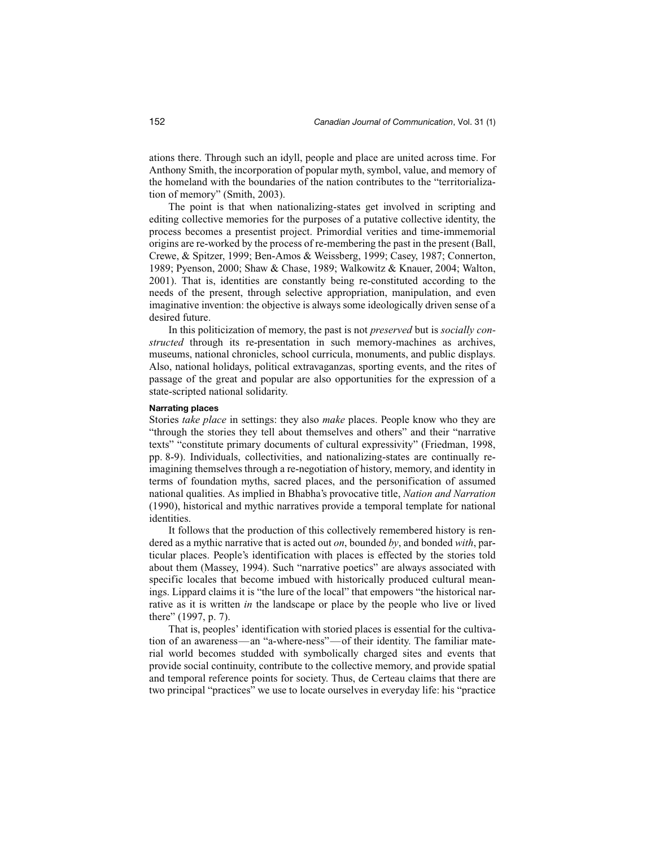ations there. Through such an idyll, people and place are united across time. For Anthony Smith, the incorporation of popular myth, symbol, value, and memory of the homeland with the boundaries of the nation contributes to the "territorialization of memory" (Smith, 2003).

The point is that when nationalizing-states get involved in scripting and editing collective memories for the purposes of a putative collective identity, the process becomes a presentist project. Primordial verities and time-immemorial origins are re-worked by the process of re-membering the past in the present (Ball, Crewe, & Spitzer, 1999; Ben-Amos & Weissberg, 1999; Casey, 1987; Connerton, 1989; Pyenson, 2000; Shaw & Chase, 1989; Walkowitz & Knauer, 2004; Walton, 2001). That is, identities are constantly being re-constituted according to the needs of the present, through selective appropriation, manipulation, and even imaginative invention: the objective is always some ideologically driven sense of a desired future.

In this politicization of memory, the past is not *preserved* but is *socially constructed* through its re-presentation in such memory-machines as archives, museums, national chronicles, school curricula, monuments, and public displays. Also, national holidays, political extravaganzas, sporting events, and the rites of passage of the great and popular are also opportunities for the expression of a state-scripted national solidarity.

#### **Narrating places**

Stories *take place* in settings: they also *make* places. People know who they are "through the stories they tell about themselves and others" and their "narrative texts" "constitute primary documents of cultural expressivity" (Friedman, 1998, pp. 8-9). Individuals, collectivities, and nationalizing-states are continually reimagining themselves through a re-negotiation of history, memory, and identity in terms of foundation myths, sacred places, and the personification of assumed national qualities. As implied in Bhabha's provocative title, *Nation and Narration* (1990), historical and mythic narratives provide a temporal template for national identities.

It follows that the production of this collectively remembered history is rendered as a mythic narrative that is acted out *on*, bounded *by*, and bonded *with*, particular places. People's identification with places is effected by the stories told about them (Massey, 1994). Such "narrative poetics" are always associated with specific locales that become imbued with historically produced cultural meanings. Lippard claims it is "the lure of the local" that empowers "the historical narrative as it is written *in* the landscape or place by the people who live or lived there" (1997, p. 7).

That is, peoples' identification with storied places is essential for the cultivation of an awareness—an "a-where-ness"—of their identity. The familiar material world becomes studded with symbolically charged sites and events that provide social continuity, contribute to the collective memory, and provide spatial and temporal reference points for society. Thus, de Certeau claims that there are two principal "practices" we use to locate ourselves in everyday life: his "practice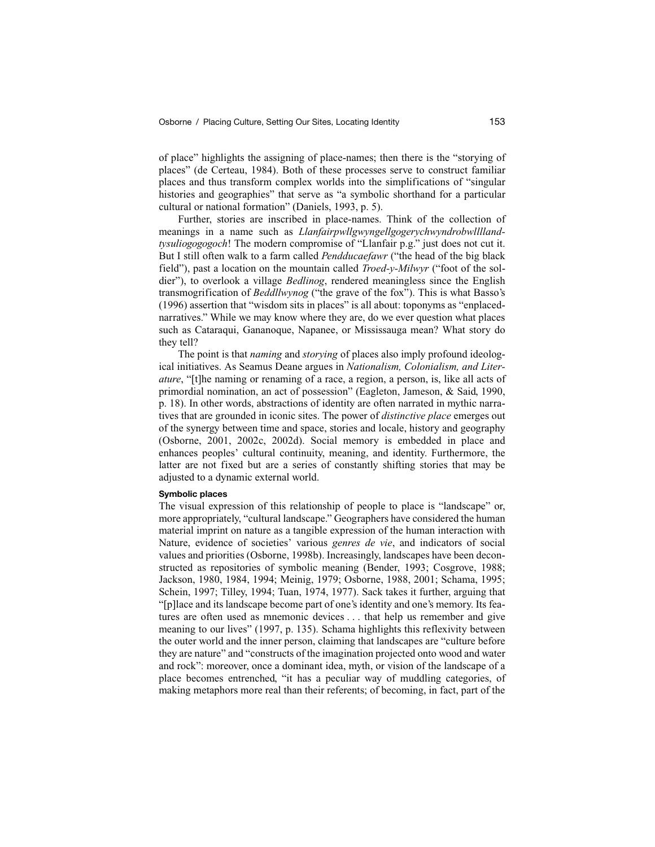of place" highlights the assigning of place-names; then there is the "storying of places" (de Certeau, 1984). Both of these processes serve to construct familiar places and thus transform complex worlds into the simplifications of "singular histories and geographies" that serve as "a symbolic shorthand for a particular cultural or national formation" (Daniels, 1993, p. 5).

Further, stories are inscribed in place-names. Think of the collection of meanings in a name such as *Llanfairpwllgwyngellgogerychwyndrobwllllandtysuliogogogoch*! The modern compromise of "Llanfair p.g." just does not cut it. But I still often walk to a farm called *Pendducaefawr* ("the head of the big black field"), past a location on the mountain called *Troed-y-Milwyr* ("foot of the soldier"), to overlook a village *Bedlinog*, rendered meaningless since the English transmogrification of *Beddllwynog* ("the grave of the fox"). This is what Basso's (1996) assertion that "wisdom sits in places" is all about: toponyms as "enplacednarratives." While we may know where they are, do we ever question what places such as Cataraqui, Gananoque, Napanee, or Mississauga mean? What story do they tell?

The point is that *naming* and *storying* of places also imply profound ideological initiatives. As Seamus Deane argues in *Nationalism, Colonialism, and Literature*, "[t]he naming or renaming of a race, a region, a person, is, like all acts of primordial nomination, an act of possession" (Eagleton, Jameson, & Said, 1990, p. 18). In other words, abstractions of identity are often narrated in mythic narratives that are grounded in iconic sites. The power of *distinctive place* emerges out of the synergy between time and space, stories and locale, history and geography (Osborne, 2001, 2002c, 2002d). Social memory is embedded in place and enhances peoples' cultural continuity, meaning, and identity. Furthermore, the latter are not fixed but are a series of constantly shifting stories that may be adjusted to a dynamic external world.

# **Symbolic places**

The visual expression of this relationship of people to place is "landscape" or, more appropriately, "cultural landscape." Geographers have considered the human material imprint on nature as a tangible expression of the human interaction with Nature, evidence of societies' various *genres de vie*, and indicators of social values and priorities (Osborne, 1998b). Increasingly, landscapes have been deconstructed as repositories of symbolic meaning (Bender, 1993; Cosgrove, 1988; Jackson, 1980, 1984, 1994; Meinig, 1979; Osborne, 1988, 2001; Schama, 1995; Schein, 1997; Tilley, 1994; Tuan, 1974, 1977). Sack takes it further, arguing that "[p]lace and its landscape become part of one's identity and one's memory. Its features are often used as mnemonic devices . . . that help us remember and give meaning to our lives" (1997, p. 135). Schama highlights this reflexivity between the outer world and the inner person, claiming that landscapes are "culture before they are nature" and "constructs of the imagination projected onto wood and water and rock": moreover, once a dominant idea, myth, or vision of the landscape of a place becomes entrenched, "it has a peculiar way of muddling categories, of making metaphors more real than their referents; of becoming, in fact, part of the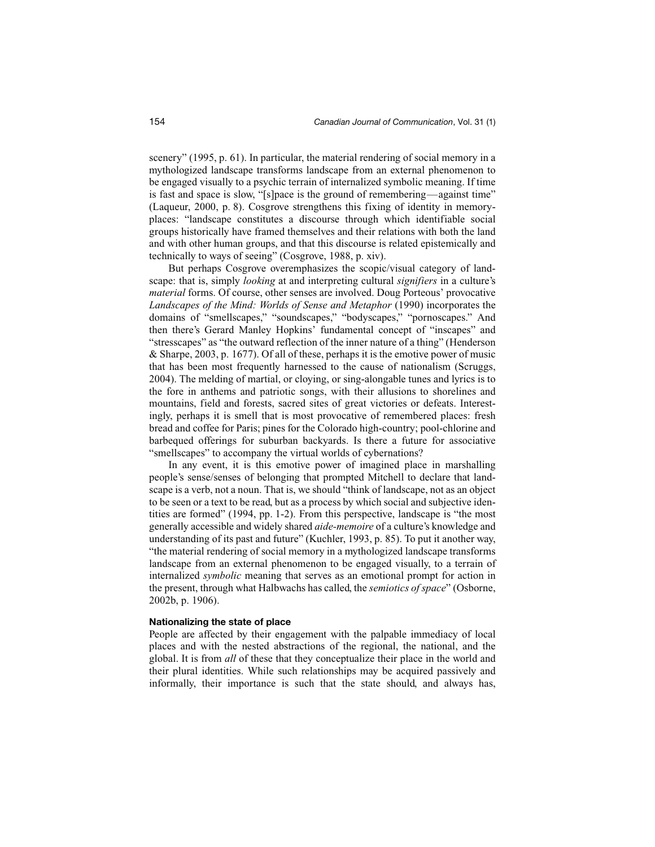scenery" (1995, p. 61). In particular, the material rendering of social memory in a mythologized landscape transforms landscape from an external phenomenon to be engaged visually to a psychic terrain of internalized symbolic meaning. If time is fast and space is slow, "[s]pace is the ground of remembering—against time" (Laqueur, 2000, p. 8). Cosgrove strengthens this fixing of identity in memoryplaces: "landscape constitutes a discourse through which identifiable social groups historically have framed themselves and their relations with both the land and with other human groups, and that this discourse is related epistemically and technically to ways of seeing" (Cosgrove, 1988, p. xiv).

But perhaps Cosgrove overemphasizes the scopic/visual category of landscape: that is, simply *looking* at and interpreting cultural *signifiers* in a culture's *material* forms. Of course, other senses are involved. Doug Porteous' provocative *Landscapes of the Mind: Worlds of Sense and Metaphor* (1990) incorporates the domains of "smellscapes," "soundscapes," "bodyscapes," "pornoscapes." And then there's Gerard Manley Hopkins' fundamental concept of "inscapes" and "stresscapes" as "the outward reflection of the inner nature of a thing" (Henderson & Sharpe, 2003, p. 1677). Of all of these, perhaps it is the emotive power of music that has been most frequently harnessed to the cause of nationalism (Scruggs, 2004). The melding of martial, or cloying, or sing-alongable tunes and lyrics is to the fore in anthems and patriotic songs, with their allusions to shorelines and mountains, field and forests, sacred sites of great victories or defeats. Interestingly, perhaps it is smell that is most provocative of remembered places: fresh bread and coffee for Paris; pines for the Colorado high-country; pool-chlorine and barbequed offerings for suburban backyards. Is there a future for associative "smellscapes" to accompany the virtual worlds of cybernations?

In any event, it is this emotive power of imagined place in marshalling people's sense/senses of belonging that prompted Mitchell to declare that landscape is a verb, not a noun. That is, we should "think of landscape, not as an object to be seen or a text to be read, but as a process by which social and subjective identities are formed" (1994, pp. 1-2). From this perspective, landscape is "the most generally accessible and widely shared *aide-memoire* of a culture's knowledge and understanding of its past and future" (Kuchler, 1993, p. 85). To put it another way, "the material rendering of social memory in a mythologized landscape transforms landscape from an external phenomenon to be engaged visually, to a terrain of internalized *symbolic* meaning that serves as an emotional prompt for action in the present, through what Halbwachs has called, the *semiotics of space*" (Osborne, 2002b, p. 1906).

# **Nationalizing the state of place**

People are affected by their engagement with the palpable immediacy of local places and with the nested abstractions of the regional, the national, and the global. It is from *all* of these that they conceptualize their place in the world and their plural identities. While such relationships may be acquired passively and informally, their importance is such that the state should, and always has,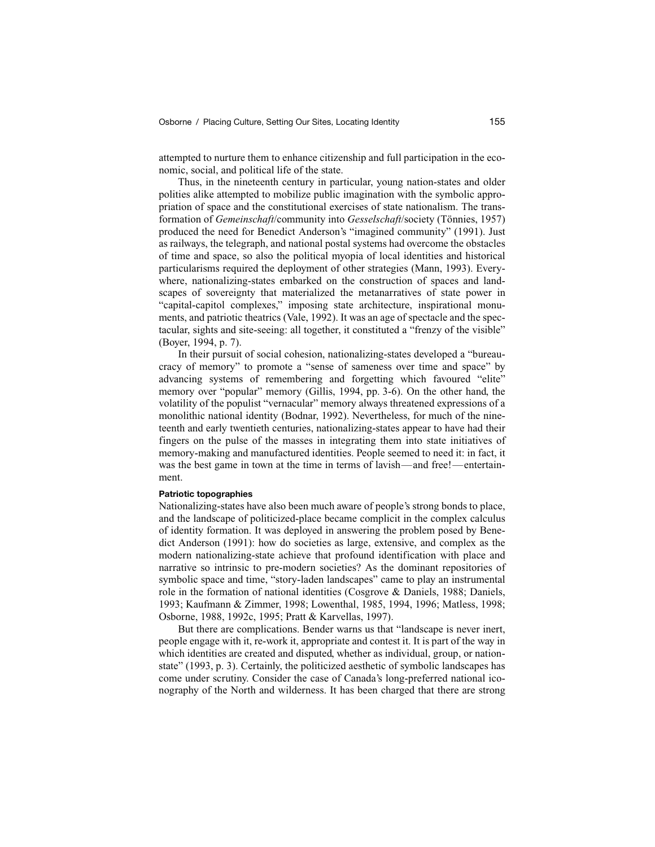attempted to nurture them to enhance citizenship and full participation in the economic, social, and political life of the state.

Thus, in the nineteenth century in particular, young nation-states and older polities alike attempted to mobilize public imagination with the symbolic appropriation of space and the constitutional exercises of state nationalism. The transformation of *Gemeinschaft*/community into *Gesselschaft*/society (Tönnies, 1957) produced the need for Benedict Anderson's "imagined community" (1991). Just as railways, the telegraph, and national postal systems had overcome the obstacles of time and space, so also the political myopia of local identities and historical particularisms required the deployment of other strategies (Mann, 1993). Everywhere, nationalizing-states embarked on the construction of spaces and landscapes of sovereignty that materialized the metanarratives of state power in "capital-capitol complexes," imposing state architecture, inspirational monuments, and patriotic theatrics (Vale, 1992). It was an age of spectacle and the spectacular, sights and site-seeing: all together, it constituted a "frenzy of the visible" (Boyer, 1994, p. 7).

In their pursuit of social cohesion, nationalizing-states developed a "bureaucracy of memory" to promote a "sense of sameness over time and space" by advancing systems of remembering and forgetting which favoured "elite" memory over "popular" memory (Gillis, 1994, pp. 3-6). On the other hand, the volatility of the populist "vernacular" memory always threatened expressions of a monolithic national identity (Bodnar, 1992). Nevertheless, for much of the nineteenth and early twentieth centuries, nationalizing-states appear to have had their fingers on the pulse of the masses in integrating them into state initiatives of memory-making and manufactured identities. People seemed to need it: in fact, it was the best game in town at the time in terms of lavish—and free!—entertainment.

#### **Patriotic topographies**

Nationalizing-states have also been much aware of people's strong bonds to place, and the landscape of politicized-place became complicit in the complex calculus of identity formation. It was deployed in answering the problem posed by Benedict Anderson (1991): how do societies as large, extensive, and complex as the modern nationalizing-state achieve that profound identification with place and narrative so intrinsic to pre-modern societies? As the dominant repositories of symbolic space and time, "story-laden landscapes" came to play an instrumental role in the formation of national identities (Cosgrove & Daniels, 1988; Daniels, 1993; Kaufmann & Zimmer, 1998; Lowenthal, 1985, 1994, 1996; Matless, 1998; Osborne, 1988, 1992c, 1995; Pratt & Karvellas, 1997).

But there are complications. Bender warns us that "landscape is never inert, people engage with it, re-work it, appropriate and contest it. It is part of the way in which identities are created and disputed, whether as individual, group, or nationstate" (1993, p. 3). Certainly, the politicized aesthetic of symbolic landscapes has come under scrutiny. Consider the case of Canada's long-preferred national iconography of the North and wilderness. It has been charged that there are strong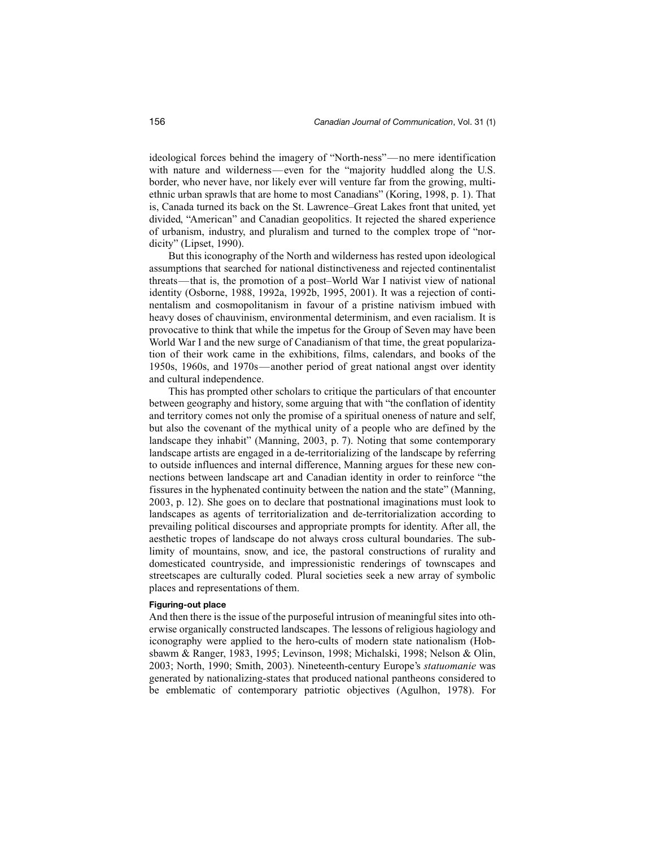ideological forces behind the imagery of "North-ness"—no mere identification with nature and wilderness—even for the "majority huddled along the U.S. border, who never have, nor likely ever will venture far from the growing, multiethnic urban sprawls that are home to most Canadians" (Koring, 1998, p. 1). That is, Canada turned its back on the St. Lawrence–Great Lakes front that united, yet divided, "American" and Canadian geopolitics. It rejected the shared experience of urbanism, industry, and pluralism and turned to the complex trope of "nordicity" (Lipset, 1990).

But this iconography of the North and wilderness has rested upon ideological assumptions that searched for national distinctiveness and rejected continentalist threats—that is, the promotion of a post–World War I nativist view of national identity (Osborne, 1988, 1992a, 1992b, 1995, 2001). It was a rejection of continentalism and cosmopolitanism in favour of a pristine nativism imbued with heavy doses of chauvinism, environmental determinism, and even racialism. It is provocative to think that while the impetus for the Group of Seven may have been World War I and the new surge of Canadianism of that time, the great popularization of their work came in the exhibitions, films, calendars, and books of the 1950s, 1960s, and 1970s—another period of great national angst over identity and cultural independence.

This has prompted other scholars to critique the particulars of that encounter between geography and history, some arguing that with "the conflation of identity and territory comes not only the promise of a spiritual oneness of nature and self, but also the covenant of the mythical unity of a people who are defined by the landscape they inhabit" (Manning, 2003, p. 7). Noting that some contemporary landscape artists are engaged in a de-territorializing of the landscape by referring to outside influences and internal difference, Manning argues for these new connections between landscape art and Canadian identity in order to reinforce "the fissures in the hyphenated continuity between the nation and the state" (Manning, 2003, p. 12). She goes on to declare that postnational imaginations must look to landscapes as agents of territorialization and de-territorialization according to prevailing political discourses and appropriate prompts for identity. After all, the aesthetic tropes of landscape do not always cross cultural boundaries. The sublimity of mountains, snow, and ice, the pastoral constructions of rurality and domesticated countryside, and impressionistic renderings of townscapes and streetscapes are culturally coded. Plural societies seek a new array of symbolic places and representations of them.

#### **Figuring-out place**

And then there is the issue of the purposeful intrusion of meaningful sites into otherwise organically constructed landscapes. The lessons of religious hagiology and iconography were applied to the hero-cults of modern state nationalism (Hobsbawm & Ranger, 1983, 1995; Levinson, 1998; Michalski, 1998; Nelson & Olin, 2003; North, 1990; Smith, 2003). Nineteenth-century Europe's *statuomanie* was generated by nationalizing-states that produced national pantheons considered to be emblematic of contemporary patriotic objectives (Agulhon, 1978). For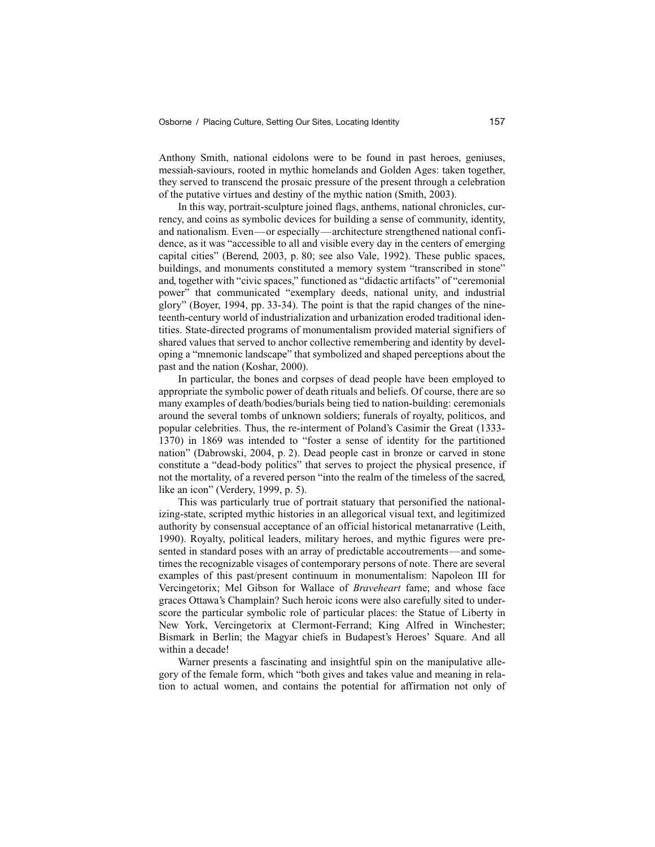Anthony Smith, national eidolons were to be found in past heroes, geniuses, messiah-saviours, rooted in mythic homelands and Golden Ages: taken together, they served to transcend the prosaic pressure of the present through a celebration of the putative virtues and destiny of the mythic nation (Smith, 2003).

In this way, portrait-sculpture joined flags, anthems, national chronicles, currency, and coins as symbolic devices for building a sense of community, identity, and nationalism. Even—or especially—architecture strengthened national confidence, as it was "accessible to all and visible every day in the centers of emerging capital cities" (Berend, 2003, p. 80; see also Vale, 1992). These public spaces, buildings, and monuments constituted a memory system "transcribed in stone" and, together with "civic spaces," functioned as "didactic artifacts" of "ceremonial power" that communicated "exemplary deeds, national unity, and industrial glory" (Boyer, 1994, pp. 33-34). The point is that the rapid changes of the nineteenth-century world of industrialization and urbanization eroded traditional identities. State-directed programs of monumentalism provided material signifiers of shared values that served to anchor collective remembering and identity by developing a "mnemonic landscape" that symbolized and shaped perceptions about the past and the nation (Koshar, 2000).

In particular, the bones and corpses of dead people have been employed to appropriate the symbolic power of death rituals and beliefs. Of course, there are so many examples of death/bodies/burials being tied to nation-building: ceremonials around the several tombs of unknown soldiers; funerals of royalty, politicos, and popular celebrities. Thus, the re-interment of Poland's Casimir the Great (1333- 1370) in 1869 was intended to "foster a sense of identity for the partitioned nation" (Dabrowski, 2004, p. 2). Dead people cast in bronze or carved in stone constitute a "dead-body politics" that serves to project the physical presence, if not the mortality, of a revered person "into the realm of the timeless of the sacred, like an icon" (Verdery, 1999, p. 5).

This was particularly true of portrait statuary that personified the nationalizing-state, scripted mythic histories in an allegorical visual text, and legitimized authority by consensual acceptance of an official historical metanarrative (Leith, 1990). Royalty, political leaders, military heroes, and mythic figures were presented in standard poses with an array of predictable accoutrements—and sometimes the recognizable visages of contemporary persons of note. There are several examples of this past/present continuum in monumentalism: Napoleon III for Vercingetorix; Mel Gibson for Wallace of *Braveheart* fame; and whose face graces Ottawa's Champlain? Such heroic icons were also carefully sited to underscore the particular symbolic role of particular places: the Statue of Liberty in New York, Vercingetorix at Clermont-Ferrand; King Alfred in Winchester; Bismark in Berlin; the Magyar chiefs in Budapest's Heroes' Square. And all within a decade!

Warner presents a fascinating and insightful spin on the manipulative allegory of the female form, which "both gives and takes value and meaning in relation to actual women, and contains the potential for affirmation not only of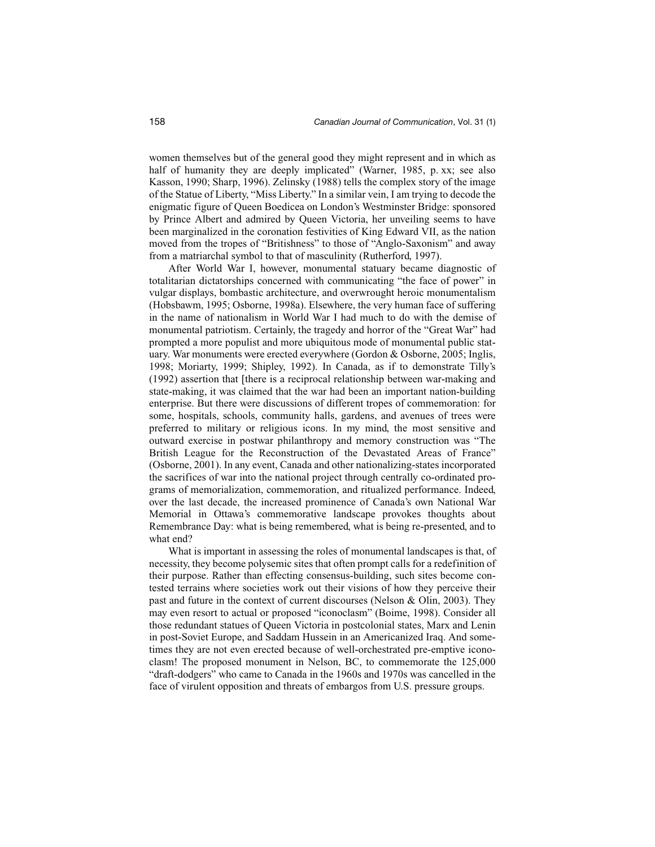women themselves but of the general good they might represent and in which as half of humanity they are deeply implicated" (Warner, 1985, p. xx; see also Kasson, 1990; Sharp, 1996). Zelinsky (1988) tells the complex story of the image of the Statue of Liberty, "Miss Liberty." In a similar vein, I am trying to decode the enigmatic figure of Queen Boedicea on London's Westminster Bridge: sponsored by Prince Albert and admired by Queen Victoria, her unveiling seems to have been marginalized in the coronation festivities of King Edward VII, as the nation moved from the tropes of "Britishness" to those of "Anglo-Saxonism" and away from a matriarchal symbol to that of masculinity (Rutherford, 1997).

After World War I, however, monumental statuary became diagnostic of totalitarian dictatorships concerned with communicating "the face of power" in vulgar displays, bombastic architecture, and overwrought heroic monumentalism (Hobsbawm, 1995; Osborne, 1998a). Elsewhere, the very human face of suffering in the name of nationalism in World War I had much to do with the demise of monumental patriotism. Certainly, the tragedy and horror of the "Great War" had prompted a more populist and more ubiquitous mode of monumental public statuary. War monuments were erected everywhere (Gordon & Osborne, 2005; Inglis, 1998; Moriarty, 1999; Shipley, 1992). In Canada, as if to demonstrate Tilly's (1992) assertion that [there is a reciprocal relationship between war-making and state-making, it was claimed that the war had been an important nation-building enterprise. But there were discussions of different tropes of commemoration: for some, hospitals, schools, community halls, gardens, and avenues of trees were preferred to military or religious icons. In my mind, the most sensitive and outward exercise in postwar philanthropy and memory construction was "The British League for the Reconstruction of the Devastated Areas of France" (Osborne, 2001). In any event, Canada and other nationalizing-states incorporated the sacrifices of war into the national project through centrally co-ordinated programs of memorialization, commemoration, and ritualized performance. Indeed, over the last decade, the increased prominence of Canada's own National War Memorial in Ottawa's commemorative landscape provokes thoughts about Remembrance Day: what is being remembered, what is being re-presented, and to what end?

What is important in assessing the roles of monumental landscapes is that, of necessity, they become polysemic sites that often prompt calls for a redefinition of their purpose. Rather than effecting consensus-building, such sites become contested terrains where societies work out their visions of how they perceive their past and future in the context of current discourses (Nelson & Olin, 2003). They may even resort to actual or proposed "iconoclasm" (Boime, 1998). Consider all those redundant statues of Queen Victoria in postcolonial states, Marx and Lenin in post-Soviet Europe, and Saddam Hussein in an Americanized Iraq. And sometimes they are not even erected because of well-orchestrated pre-emptive iconoclasm! The proposed monument in Nelson, BC, to commemorate the 125,000 "draft-dodgers" who came to Canada in the 1960s and 1970s was cancelled in the face of virulent opposition and threats of embargos from U.S. pressure groups.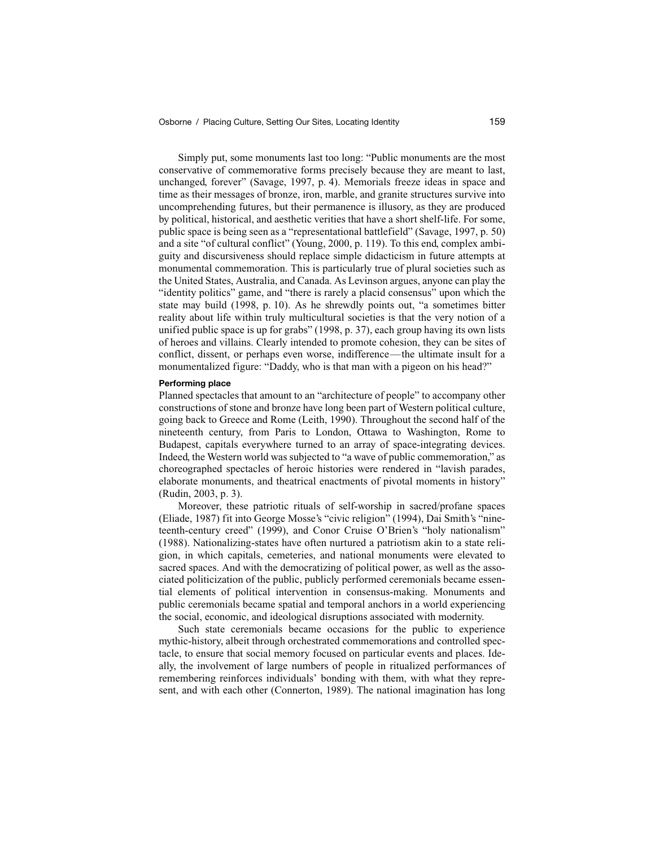Simply put, some monuments last too long: "Public monuments are the most conservative of commemorative forms precisely because they are meant to last, unchanged, forever" (Savage, 1997, p. 4). Memorials freeze ideas in space and time as their messages of bronze, iron, marble, and granite structures survive into uncomprehending futures, but their permanence is illusory, as they are produced by political, historical, and aesthetic verities that have a short shelf-life. For some, public space is being seen as a "representational battlefield" (Savage, 1997, p. 50) and a site "of cultural conflict" (Young, 2000, p. 119). To this end, complex ambiguity and discursiveness should replace simple didacticism in future attempts at monumental commemoration. This is particularly true of plural societies such as the United States, Australia, and Canada. As Levinson argues, anyone can play the "identity politics" game, and "there is rarely a placid consensus" upon which the state may build (1998, p. 10). As he shrewdly points out, "a sometimes bitter reality about life within truly multicultural societies is that the very notion of a unified public space is up for grabs" (1998, p. 37), each group having its own lists of heroes and villains. Clearly intended to promote cohesion, they can be sites of conflict, dissent, or perhaps even worse, indifference—the ultimate insult for a monumentalized figure: "Daddy, who is that man with a pigeon on his head?"

#### **Performing place**

Planned spectacles that amount to an "architecture of people" to accompany other constructions of stone and bronze have long been part of Western political culture, going back to Greece and Rome (Leith, 1990). Throughout the second half of the nineteenth century, from Paris to London, Ottawa to Washington, Rome to Budapest, capitals everywhere turned to an array of space-integrating devices. Indeed, the Western world was subjected to "a wave of public commemoration," as choreographed spectacles of heroic histories were rendered in "lavish parades, elaborate monuments, and theatrical enactments of pivotal moments in history" (Rudin, 2003, p. 3).

Moreover, these patriotic rituals of self-worship in sacred/profane spaces (Eliade, 1987) fit into George Mosse's "civic religion" (1994), Dai Smith's "nineteenth-century creed" (1999), and Conor Cruise O'Brien's "holy nationalism" (1988). Nationalizing-states have often nurtured a patriotism akin to a state religion, in which capitals, cemeteries, and national monuments were elevated to sacred spaces. And with the democratizing of political power, as well as the associated politicization of the public, publicly performed ceremonials became essential elements of political intervention in consensus-making. Monuments and public ceremonials became spatial and temporal anchors in a world experiencing the social, economic, and ideological disruptions associated with modernity.

Such state ceremonials became occasions for the public to experience mythic-history, albeit through orchestrated commemorations and controlled spectacle, to ensure that social memory focused on particular events and places. Ideally, the involvement of large numbers of people in ritualized performances of remembering reinforces individuals' bonding with them, with what they represent, and with each other (Connerton, 1989). The national imagination has long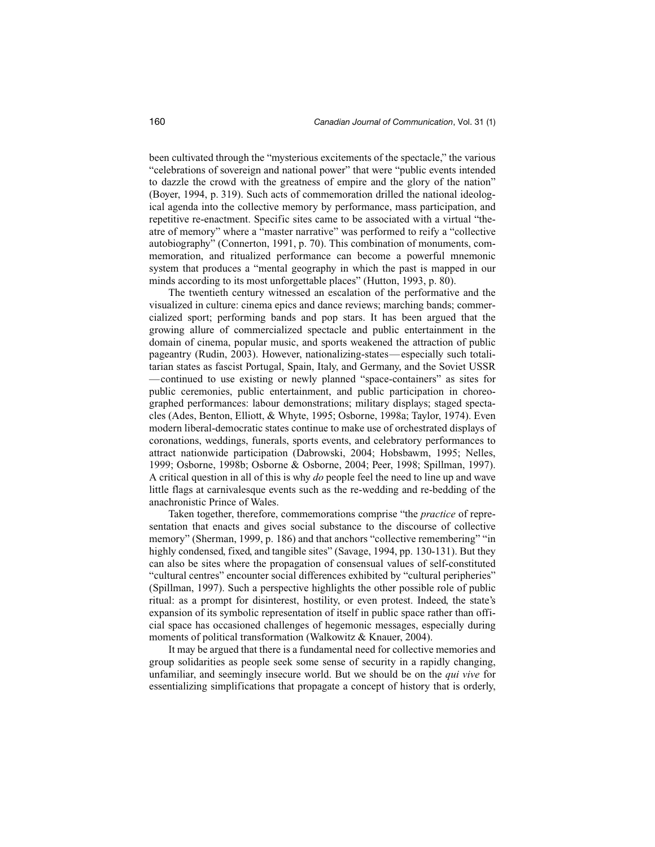been cultivated through the "mysterious excitements of the spectacle," the various "celebrations of sovereign and national power" that were "public events intended to dazzle the crowd with the greatness of empire and the glory of the nation" (Boyer, 1994, p. 319). Such acts of commemoration drilled the national ideological agenda into the collective memory by performance, mass participation, and repetitive re-enactment. Specific sites came to be associated with a virtual "theatre of memory" where a "master narrative" was performed to reify a "collective autobiography" (Connerton, 1991, p. 70). This combination of monuments, commemoration, and ritualized performance can become a powerful mnemonic system that produces a "mental geography in which the past is mapped in our minds according to its most unforgettable places" (Hutton, 1993, p. 80).

The twentieth century witnessed an escalation of the performative and the visualized in culture: cinema epics and dance reviews; marching bands; commercialized sport; performing bands and pop stars. It has been argued that the growing allure of commercialized spectacle and public entertainment in the domain of cinema, popular music, and sports weakened the attraction of public pageantry (Rudin, 2003). However, nationalizing-states—especially such totalitarian states as fascist Portugal, Spain, Italy, and Germany, and the Soviet USSR —continued to use existing or newly planned "space-containers" as sites for public ceremonies, public entertainment, and public participation in choreographed performances: labour demonstrations; military displays; staged spectacles (Ades, Benton, Elliott, & Whyte, 1995; Osborne, 1998a; Taylor, 1974). Even modern liberal-democratic states continue to make use of orchestrated displays of coronations, weddings, funerals, sports events, and celebratory performances to attract nationwide participation (Dabrowski, 2004; Hobsbawm, 1995; Nelles, 1999; Osborne, 1998b; Osborne & Osborne, 2004; Peer, 1998; Spillman, 1997). A critical question in all of this is why *do* people feel the need to line up and wave little flags at carnivalesque events such as the re-wedding and re-bedding of the anachronistic Prince of Wales.

Taken together, therefore, commemorations comprise "the *practice* of representation that enacts and gives social substance to the discourse of collective memory" (Sherman, 1999, p. 186) and that anchors "collective remembering" "in highly condensed, fixed, and tangible sites" (Savage, 1994, pp. 130-131). But they can also be sites where the propagation of consensual values of self-constituted "cultural centres" encounter social differences exhibited by "cultural peripheries" (Spillman, 1997). Such a perspective highlights the other possible role of public ritual: as a prompt for disinterest, hostility, or even protest. Indeed, the state's expansion of its symbolic representation of itself in public space rather than official space has occasioned challenges of hegemonic messages, especially during moments of political transformation (Walkowitz & Knauer, 2004).

It may be argued that there is a fundamental need for collective memories and group solidarities as people seek some sense of security in a rapidly changing, unfamiliar, and seemingly insecure world. But we should be on the *qui vive* for essentializing simplifications that propagate a concept of history that is orderly,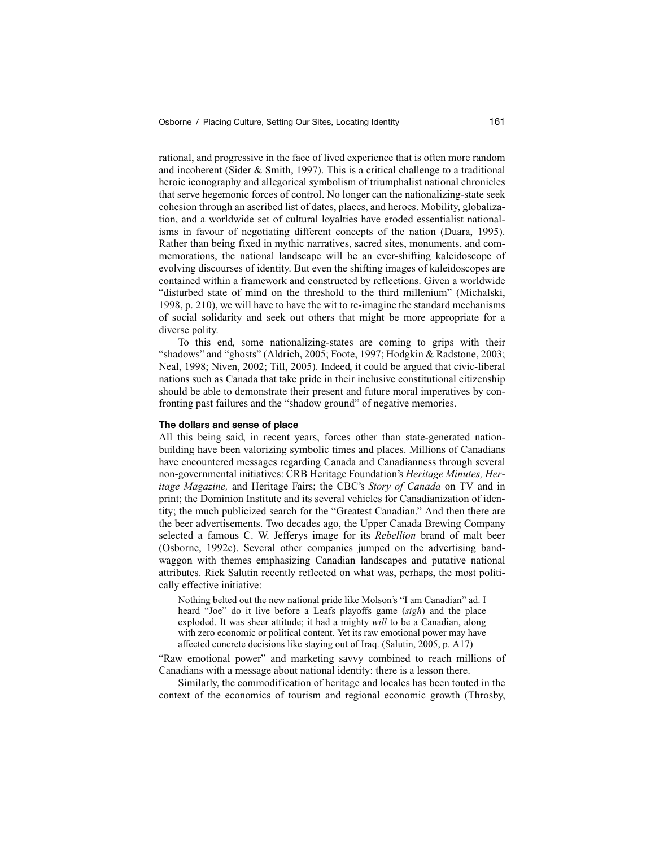rational, and progressive in the face of lived experience that is often more random and incoherent (Sider & Smith, 1997). This is a critical challenge to a traditional heroic iconography and allegorical symbolism of triumphalist national chronicles that serve hegemonic forces of control. No longer can the nationalizing-state seek cohesion through an ascribed list of dates, places, and heroes. Mobility, globalization, and a worldwide set of cultural loyalties have eroded essentialist nationalisms in favour of negotiating different concepts of the nation (Duara, 1995). Rather than being fixed in mythic narratives, sacred sites, monuments, and commemorations, the national landscape will be an ever-shifting kaleidoscope of evolving discourses of identity. But even the shifting images of kaleidoscopes are contained within a framework and constructed by reflections. Given a worldwide "disturbed state of mind on the threshold to the third millenium" (Michalski, 1998, p. 210), we will have to have the wit to re-imagine the standard mechanisms of social solidarity and seek out others that might be more appropriate for a diverse polity.

To this end, some nationalizing-states are coming to grips with their "shadows" and "ghosts" (Aldrich, 2005; Foote, 1997; Hodgkin & Radstone, 2003; Neal, 1998; Niven, 2002; Till, 2005). Indeed, it could be argued that civic-liberal nations such as Canada that take pride in their inclusive constitutional citizenship should be able to demonstrate their present and future moral imperatives by confronting past failures and the "shadow ground" of negative memories.

# **The dollars and sense of place**

All this being said, in recent years, forces other than state-generated nationbuilding have been valorizing symbolic times and places. Millions of Canadians have encountered messages regarding Canada and Canadianness through several non-governmental initiatives: CRB Heritage Foundation's *Heritage Minutes, Heritage Magazine,* and Heritage Fairs; the CBC's *Story of Canada* on TV and in print; the Dominion Institute and its several vehicles for Canadianization of identity; the much publicized search for the "Greatest Canadian." And then there are the beer advertisements. Two decades ago, the Upper Canada Brewing Company selected a famous C. W. Jefferys image for its *Rebellion* brand of malt beer (Osborne, 1992c). Several other companies jumped on the advertising bandwaggon with themes emphasizing Canadian landscapes and putative national attributes. Rick Salutin recently reflected on what was, perhaps, the most politically effective initiative:

Nothing belted out the new national pride like Molson's "I am Canadian" ad. I heard "Joe" do it live before a Leafs playoffs game (*sigh*) and the place exploded. It was sheer attitude; it had a mighty *will* to be a Canadian, along with zero economic or political content. Yet its raw emotional power may have affected concrete decisions like staying out of Iraq. (Salutin, 2005, p. A17)

"Raw emotional power" and marketing savvy combined to reach millions of Canadians with a message about national identity: there is a lesson there.

Similarly, the commodification of heritage and locales has been touted in the context of the economics of tourism and regional economic growth (Throsby,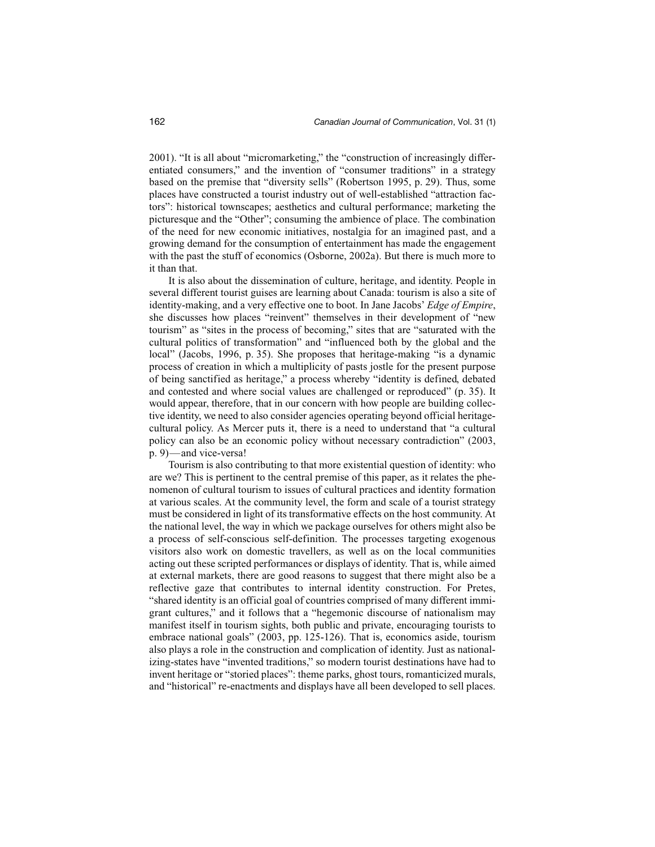2001). "It is all about "micromarketing," the "construction of increasingly differentiated consumers," and the invention of "consumer traditions" in a strategy based on the premise that "diversity sells" (Robertson 1995, p. 29). Thus, some places have constructed a tourist industry out of well-established "attraction factors": historical townscapes; aesthetics and cultural performance; marketing the picturesque and the "Other"; consuming the ambience of place. The combination of the need for new economic initiatives, nostalgia for an imagined past, and a growing demand for the consumption of entertainment has made the engagement with the past the stuff of economics (Osborne, 2002a). But there is much more to it than that.

It is also about the dissemination of culture, heritage, and identity. People in several different tourist guises are learning about Canada: tourism is also a site of identity-making, and a very effective one to boot. In Jane Jacobs' *Edge of Empire*, she discusses how places "reinvent" themselves in their development of "new tourism" as "sites in the process of becoming," sites that are "saturated with the cultural politics of transformation" and "influenced both by the global and the local" (Jacobs, 1996, p. 35). She proposes that heritage-making "is a dynamic process of creation in which a multiplicity of pasts jostle for the present purpose of being sanctified as heritage," a process whereby "identity is defined, debated and contested and where social values are challenged or reproduced" (p. 35). It would appear, therefore, that in our concern with how people are building collective identity, we need to also consider agencies operating beyond official heritagecultural policy. As Mercer puts it, there is a need to understand that "a cultural policy can also be an economic policy without necessary contradiction" (2003, p. 9)—and vice-versa!

Tourism is also contributing to that more existential question of identity: who are we? This is pertinent to the central premise of this paper, as it relates the phenomenon of cultural tourism to issues of cultural practices and identity formation at various scales. At the community level, the form and scale of a tourist strategy must be considered in light of its transformative effects on the host community. At the national level, the way in which we package ourselves for others might also be a process of self-conscious self-definition. The processes targeting exogenous visitors also work on domestic travellers, as well as on the local communities acting out these scripted performances or displays of identity. That is, while aimed at external markets, there are good reasons to suggest that there might also be a reflective gaze that contributes to internal identity construction. For Pretes, "shared identity is an official goal of countries comprised of many different immigrant cultures," and it follows that a "hegemonic discourse of nationalism may manifest itself in tourism sights, both public and private, encouraging tourists to embrace national goals" (2003, pp. 125-126). That is, economics aside, tourism also plays a role in the construction and complication of identity. Just as nationalizing-states have "invented traditions," so modern tourist destinations have had to invent heritage or "storied places": theme parks, ghost tours, romanticized murals, and "historical" re-enactments and displays have all been developed to sell places.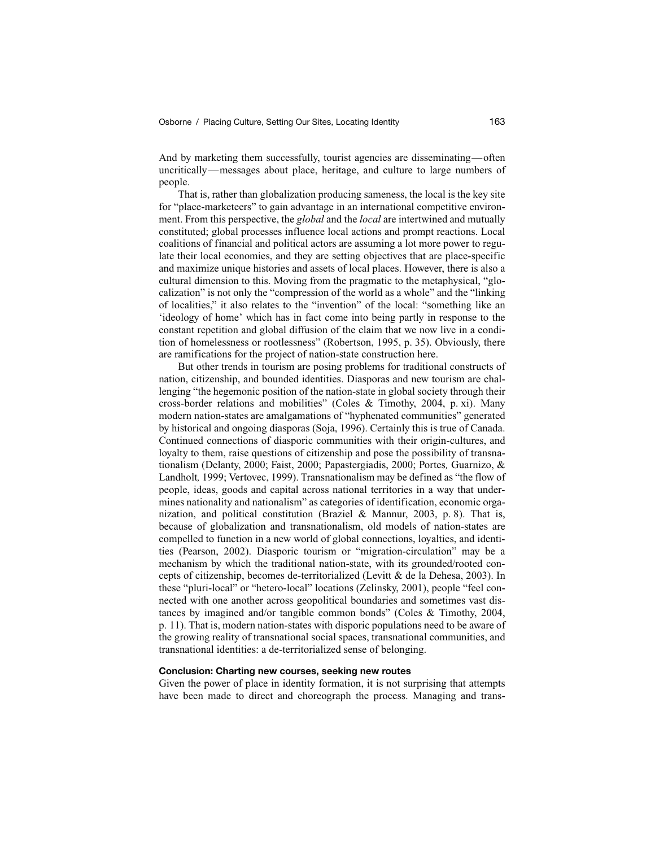And by marketing them successfully, tourist agencies are disseminating—often uncritically—messages about place, heritage, and culture to large numbers of people.

That is, rather than globalization producing sameness, the local is the key site for "place-marketeers" to gain advantage in an international competitive environment. From this perspective, the *global* and the *local* are intertwined and mutually constituted; global processes influence local actions and prompt reactions. Local coalitions of financial and political actors are assuming a lot more power to regulate their local economies, and they are setting objectives that are place-specific and maximize unique histories and assets of local places. However, there is also a cultural dimension to this. Moving from the pragmatic to the metaphysical, "glocalization" is not only the "compression of the world as a whole" and the "linking of localities," it also relates to the "invention" of the local: "something like an 'ideology of home' which has in fact come into being partly in response to the constant repetition and global diffusion of the claim that we now live in a condition of homelessness or rootlessness" (Robertson, 1995, p. 35). Obviously, there are ramifications for the project of nation-state construction here.

But other trends in tourism are posing problems for traditional constructs of nation, citizenship, and bounded identities. Diasporas and new tourism are challenging "the hegemonic position of the nation-state in global society through their cross-border relations and mobilities" (Coles & Timothy, 2004, p. xi). Many modern nation-states are amalgamations of "hyphenated communities" generated by historical and ongoing diasporas (Soja, 1996). Certainly this is true of Canada. Continued connections of diasporic communities with their origin-cultures, and loyalty to them, raise questions of citizenship and pose the possibility of transnationalism (Delanty, 2000; Faist, 2000; Papastergiadis, 2000; Portes*,* Guarnizo, & Landholt*,* 1999; Vertovec, 1999). Transnationalism may be defined as "the flow of people, ideas, goods and capital across national territories in a way that undermines nationality and nationalism" as categories of identification, economic organization, and political constitution (Braziel & Mannur, 2003, p. 8). That is, because of globalization and transnationalism, old models of nation-states are compelled to function in a new world of global connections, loyalties, and identities (Pearson, 2002). Diasporic tourism or "migration-circulation" may be a mechanism by which the traditional nation-state, with its grounded/rooted concepts of citizenship, becomes de-territorialized (Levitt & de la Dehesa, 2003). In these "pluri-local" or "hetero-local" locations (Zelinsky, 2001), people "feel connected with one another across geopolitical boundaries and sometimes vast distances by imagined and/or tangible common bonds" (Coles & Timothy, 2004, p. 11). That is, modern nation-states with disporic populations need to be aware of the growing reality of transnational social spaces, transnational communities, and transnational identities: a de-territorialized sense of belonging.

## **Conclusion: Charting new courses, seeking new routes**

Given the power of place in identity formation, it is not surprising that attempts have been made to direct and choreograph the process. Managing and trans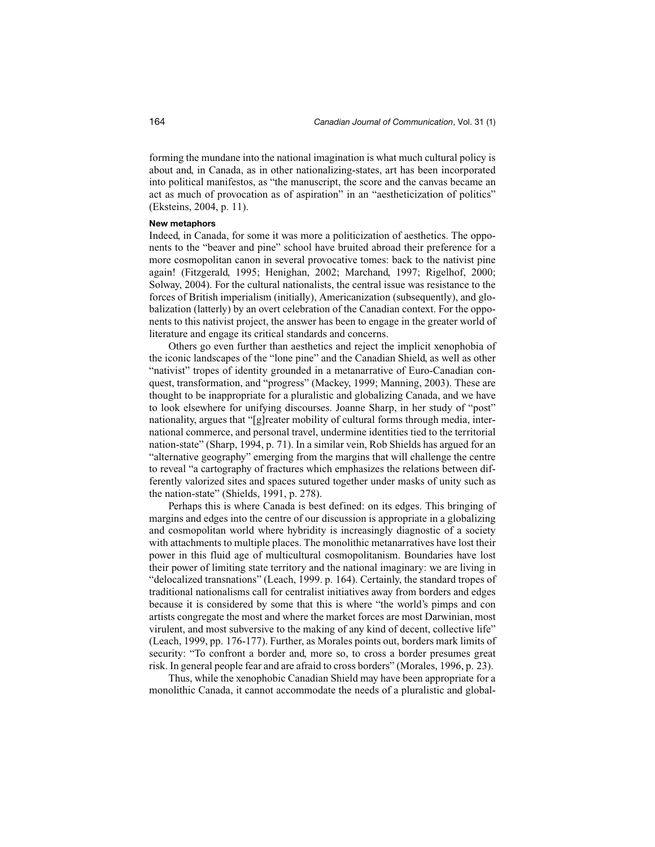forming the mundane into the national imagination is what much cultural policy is about and, in Canada, as in other nationalizing-states, art has been incorporated into political manifestos, as "the manuscript, the score and the canvas became an act as much of provocation as of aspiration" in an "aestheticization of politics" (Eksteins, 2004, p. 11).

#### **New metaphors**

Indeed, in Canada, for some it was more a politicization of aesthetics. The opponents to the "beaver and pine" school have bruited abroad their preference for a more cosmopolitan canon in several provocative tomes: back to the nativist pine again! (Fitzgerald, 1995; Henighan, 2002; Marchand, 1997; Rigelhof, 2000; Solway, 2004). For the cultural nationalists, the central issue was resistance to the forces of British imperialism (initially), Americanization (subsequently), and globalization (latterly) by an overt celebration of the Canadian context. For the opponents to this nativist project, the answer has been to engage in the greater world of literature and engage its critical standards and concerns.

Others go even further than aesthetics and reject the implicit xenophobia of the iconic landscapes of the "lone pine" and the Canadian Shield, as well as other "nativist" tropes of identity grounded in a metanarrative of Euro-Canadian conquest, transformation, and "progress" (Mackey, 1999; Manning, 2003). These are thought to be inappropriate for a pluralistic and globalizing Canada, and we have to look elsewhere for unifying discourses. Joanne Sharp, in her study of "post" nationality, argues that "[g]reater mobility of cultural forms through media, international commerce, and personal travel, undermine identities tied to the territorial nation-state" (Sharp, 1994, p. 71). In a similar vein, Rob Shields has argued for an "alternative geography" emerging from the margins that will challenge the centre to reveal "a cartography of fractures which emphasizes the relations between differently valorized sites and spaces sutured together under masks of unity such as the nation-state" (Shields, 1991, p. 278).

Perhaps this is where Canada is best defined: on its edges. This bringing of margins and edges into the centre of our discussion is appropriate in a globalizing and cosmopolitan world where hybridity is increasingly diagnostic of a society with attachments to multiple places. The monolithic metanarratives have lost their power in this fluid age of multicultural cosmopolitanism. Boundaries have lost their power of limiting state territory and the national imaginary: we are living in "delocalized transnations" (Leach, 1999. p. 164). Certainly, the standard tropes of traditional nationalisms call for centralist initiatives away from borders and edges because it is considered by some that this is where "the world's pimps and con artists congregate the most and where the market forces are most Darwinian, most virulent, and most subversive to the making of any kind of decent, collective life" (Leach, 1999, pp. 176-177). Further, as Morales points out, borders mark limits of security: "To confront a border and, more so, to cross a border presumes great risk. In general people fear and are afraid to cross borders" (Morales, 1996, p. 23).

Thus, while the xenophobic Canadian Shield may have been appropriate for a monolithic Canada, it cannot accommodate the needs of a pluralistic and global-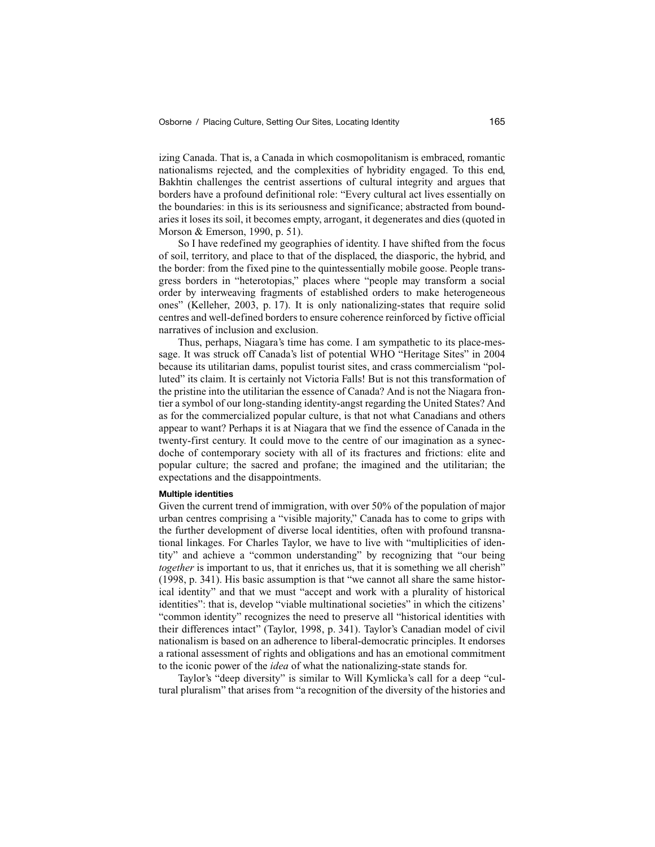izing Canada. That is, a Canada in which cosmopolitanism is embraced, romantic nationalisms rejected, and the complexities of hybridity engaged. To this end, Bakhtin challenges the centrist assertions of cultural integrity and argues that borders have a profound definitional role: "Every cultural act lives essentially on the boundaries: in this is its seriousness and significance; abstracted from boundaries it loses its soil, it becomes empty, arrogant, it degenerates and dies (quoted in Morson & Emerson, 1990, p. 51).

So I have redefined my geographies of identity. I have shifted from the focus of soil, territory, and place to that of the displaced, the diasporic, the hybrid, and the border: from the fixed pine to the quintessentially mobile goose. People transgress borders in "heterotopias," places where "people may transform a social order by interweaving fragments of established orders to make heterogeneous ones" (Kelleher, 2003, p. 17). It is only nationalizing-states that require solid centres and well-defined borders to ensure coherence reinforced by fictive official narratives of inclusion and exclusion.

Thus, perhaps, Niagara's time has come. I am sympathetic to its place-message. It was struck off Canada's list of potential WHO "Heritage Sites" in 2004 because its utilitarian dams, populist tourist sites, and crass commercialism "polluted" its claim. It is certainly not Victoria Falls! But is not this transformation of the pristine into the utilitarian the essence of Canada? And is not the Niagara frontier a symbol of our long-standing identity-angst regarding the United States? And as for the commercialized popular culture, is that not what Canadians and others appear to want? Perhaps it is at Niagara that we find the essence of Canada in the twenty-first century. It could move to the centre of our imagination as a synecdoche of contemporary society with all of its fractures and frictions: elite and popular culture; the sacred and profane; the imagined and the utilitarian; the expectations and the disappointments.

#### **Multiple identities**

Given the current trend of immigration, with over 50% of the population of major urban centres comprising a "visible majority," Canada has to come to grips with the further development of diverse local identities, often with profound transnational linkages. For Charles Taylor, we have to live with "multiplicities of identity" and achieve a "common understanding" by recognizing that "our being *together* is important to us, that it enriches us, that it is something we all cherish" (1998, p. 341). His basic assumption is that "we cannot all share the same historical identity" and that we must "accept and work with a plurality of historical identities": that is, develop "viable multinational societies" in which the citizens' "common identity" recognizes the need to preserve all "historical identities with their differences intact" (Taylor, 1998, p. 341). Taylor's Canadian model of civil nationalism is based on an adherence to liberal-democratic principles. It endorses a rational assessment of rights and obligations and has an emotional commitment to the iconic power of the *idea* of what the nationalizing-state stands for.

Taylor's "deep diversity" is similar to Will Kymlicka's call for a deep "cultural pluralism" that arises from "a recognition of the diversity of the histories and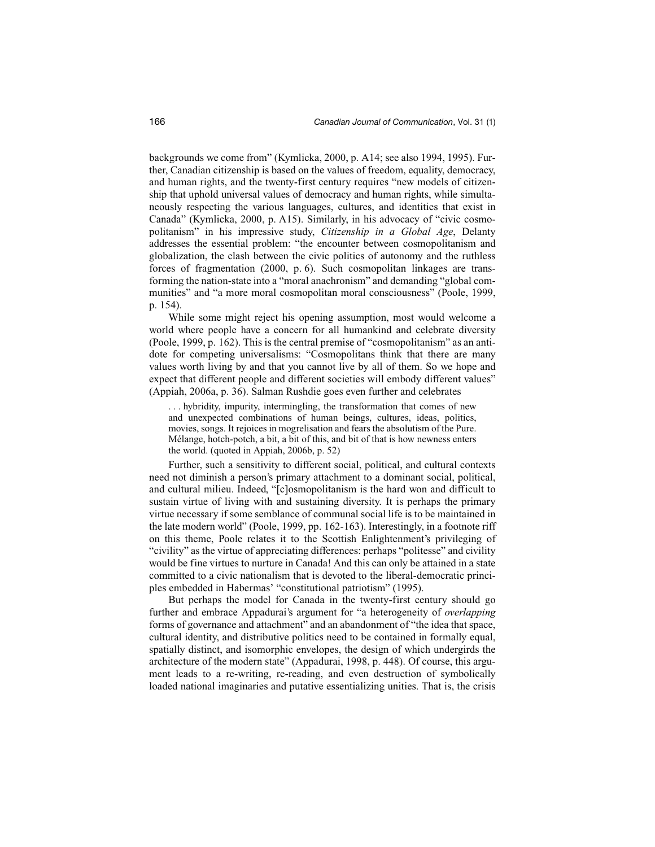backgrounds we come from" (Kymlicka, 2000, p. A14; see also 1994, 1995). Further, Canadian citizenship is based on the values of freedom, equality, democracy, and human rights, and the twenty-first century requires "new models of citizenship that uphold universal values of democracy and human rights, while simultaneously respecting the various languages, cultures, and identities that exist in Canada" (Kymlicka, 2000, p. A15). Similarly, in his advocacy of "civic cosmopolitanism" in his impressive study, *Citizenship in a Global Age*, Delanty addresses the essential problem: "the encounter between cosmopolitanism and globalization, the clash between the civic politics of autonomy and the ruthless forces of fragmentation (2000, p. 6). Such cosmopolitan linkages are transforming the nation-state into a "moral anachronism" and demanding "global communities" and "a more moral cosmopolitan moral consciousness" (Poole, 1999, p. 154).

While some might reject his opening assumption, most would welcome a world where people have a concern for all humankind and celebrate diversity (Poole, 1999, p. 162). This is the central premise of "cosmopolitanism" as an antidote for competing universalisms: "Cosmopolitans think that there are many values worth living by and that you cannot live by all of them. So we hope and expect that different people and different societies will embody different values" (Appiah, 2006a, p. 36). Salman Rushdie goes even further and celebrates

. . . hybridity, impurity, intermingling, the transformation that comes of new and unexpected combinations of human beings, cultures, ideas, politics, movies, songs. It rejoices in mogrelisation and fears the absolutism of the Pure. Mélange, hotch-potch, a bit, a bit of this, and bit of that is how newness enters the world. (quoted in Appiah, 2006b, p. 52)

Further, such a sensitivity to different social, political, and cultural contexts need not diminish a person's primary attachment to a dominant social, political, and cultural milieu. Indeed, "[c]osmopolitanism is the hard won and difficult to sustain virtue of living with and sustaining diversity. It is perhaps the primary virtue necessary if some semblance of communal social life is to be maintained in the late modern world" (Poole, 1999, pp. 162-163). Interestingly, in a footnote riff on this theme, Poole relates it to the Scottish Enlightenment's privileging of "civility" as the virtue of appreciating differences: perhaps "politesse" and civility would be fine virtues to nurture in Canada! And this can only be attained in a state committed to a civic nationalism that is devoted to the liberal-democratic principles embedded in Habermas' "constitutional patriotism" (1995).

But perhaps the model for Canada in the twenty-first century should go further and embrace Appadurai's argument for "a heterogeneity of *overlapping* forms of governance and attachment" and an abandonment of "the idea that space, cultural identity, and distributive politics need to be contained in formally equal, spatially distinct, and isomorphic envelopes, the design of which undergirds the architecture of the modern state" (Appadurai, 1998, p. 448). Of course, this argument leads to a re-writing, re-reading, and even destruction of symbolically loaded national imaginaries and putative essentializing unities. That is, the crisis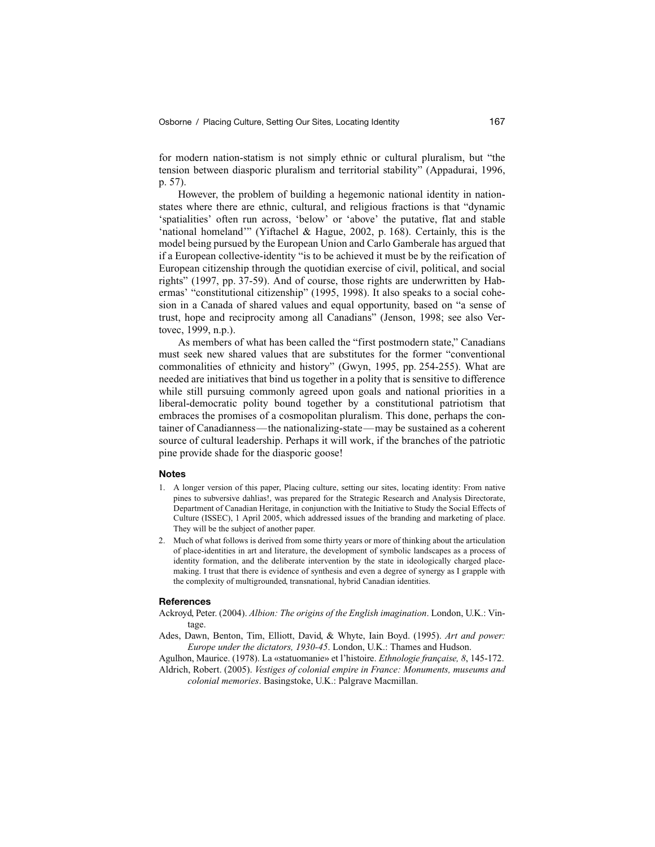for modern nation-statism is not simply ethnic or cultural pluralism, but "the tension between diasporic pluralism and territorial stability" (Appadurai, 1996, p. 57).

However, the problem of building a hegemonic national identity in nationstates where there are ethnic, cultural, and religious fractions is that "dynamic 'spatialities' often run across, 'below' or 'above' the putative, flat and stable 'national homeland'" (Yiftachel & Hague, 2002, p. 168). Certainly, this is the model being pursued by the European Union and Carlo Gamberale has argued that if a European collective-identity "is to be achieved it must be by the reification of European citizenship through the quotidian exercise of civil, political, and social rights" (1997, pp. 37-59). And of course, those rights are underwritten by Habermas' "constitutional citizenship" (1995, 1998). It also speaks to a social cohesion in a Canada of shared values and equal opportunity, based on "a sense of trust, hope and reciprocity among all Canadians" (Jenson, 1998; see also Vertovec, 1999, n.p.).

As members of what has been called the "first postmodern state," Canadians must seek new shared values that are substitutes for the former "conventional commonalities of ethnicity and history" (Gwyn, 1995, pp. 254-255). What are needed are initiatives that bind us together in a polity that is sensitive to difference while still pursuing commonly agreed upon goals and national priorities in a liberal-democratic polity bound together by a constitutional patriotism that embraces the promises of a cosmopolitan pluralism. This done, perhaps the container of Canadianness—the nationalizing-state—may be sustained as a coherent source of cultural leadership. Perhaps it will work, if the branches of the patriotic pine provide shade for the diasporic goose!

#### **Notes**

- 1. A longer version of this paper, Placing culture, setting our sites, locating identity: From native pines to subversive dahlias!, was prepared for the Strategic Research and Analysis Directorate, Department of Canadian Heritage, in conjunction with the Initiative to Study the Social Effects of Culture (ISSEC), 1 April 2005, which addressed issues of the branding and marketing of place. They will be the subject of another paper.
- 2. Much of what follows is derived from some thirty years or more of thinking about the articulation of place-identities in art and literature, the development of symbolic landscapes as a process of identity formation, and the deliberate intervention by the state in ideologically charged placemaking. I trust that there is evidence of synthesis and even a degree of synergy as I grapple with the complexity of multigrounded, transnational, hybrid Canadian identities.

#### **References**

- Ackroyd, Peter. (2004). *Albion: The origins of the English imagination*. London, U.K.: Vintage.
- Ades, Dawn, Benton, Tim, Elliott, David, & Whyte, Iain Boyd. (1995). *Art and power: Europe under the dictators, 1930-45*. London, U.K.: Thames and Hudson.
- Agulhon, Maurice. (1978). La «statuomanie» et l'histoire. *Ethnologie française, 8*, 145-172. Aldrich, Robert. (2005). *Vestiges of colonial empire in France: Monuments, museums and*
	- *colonial memories*. Basingstoke, U.K.: Palgrave Macmillan.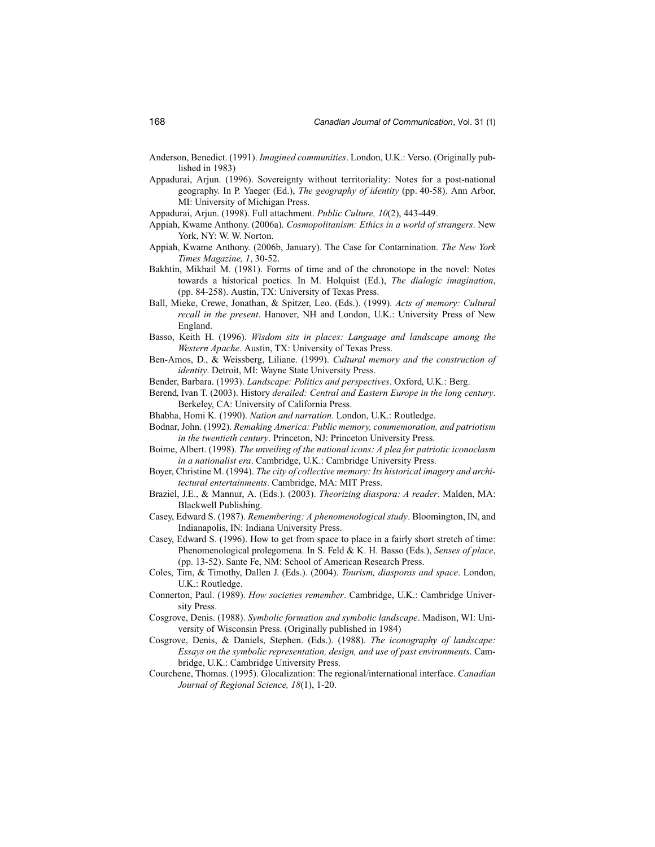- Anderson, Benedict. (1991). *Imagined communities*. London, U.K.: Verso. (Originally published in 1983)
- Appadurai, Arjun. (1996). Sovereignty without territoriality: Notes for a post-national geography. In P. Yaeger (Ed.), *The geography of identity* (pp. 40-58). Ann Arbor, MI: University of Michigan Press.
- Appadurai, Arjun. (1998). Full attachment. *Public Culture, 10*(2), 443-449.
- Appiah, Kwame Anthony. (2006a). *Cosmopolitanism: Ethics in a world of strangers*. New York, NY: W. W. Norton.
- Appiah, Kwame Anthony. (2006b, January). The Case for Contamination. *The New York Times Magazine, 1*, 30-52.
- Bakhtin, Mikhail M. (1981). Forms of time and of the chronotope in the novel: Notes towards a historical poetics. In M. Holquist (Ed.), *The dialogic imagination*, (pp. 84-258). Austin, TX: University of Texas Press.
- Ball, Mieke, Crewe, Jonathan, & Spitzer, Leo. (Eds.). (1999). *Acts of memory: Cultural recall in the present*. Hanover, NH and London, U.K.: University Press of New England.
- Basso, Keith H. (1996). *Wisdom sits in places: Language and landscape among the Western Apache*. Austin, TX: University of Texas Press.
- Ben-Amos, D., & Weissberg, Liliane. (1999). *Cultural memory and the construction of identity*. Detroit, MI: Wayne State University Press.
- Bender, Barbara. (1993). *Landscape: Politics and perspectives*. Oxford, U.K.: Berg.
- Berend, Ivan T. (2003). History *derailed: Central and Eastern Europe in the long century*. Berkeley, CA: University of California Press.
- Bhabha, Homi K. (1990). *Nation and narration*. London, U.K.: Routledge.
- Bodnar, John. (1992). *Remaking America: Public memory, commemoration, and patriotism in the twentieth century*. Princeton, NJ: Princeton University Press.
- Boime, Albert. (1998). *The unveiling of the national icons: A plea for patriotic iconoclasm in a nationalist era*. Cambridge, U.K.: Cambridge University Press.
- Boyer, Christine M. (1994). *The city of collective memory: Its historical imagery and architectural entertainments*. Cambridge, MA: MIT Press.
- Braziel, J.E., & Mannur, A. (Eds.). (2003). *Theorizing diaspora: A reader*. Malden, MA: Blackwell Publishing.
- Casey, Edward S. (1987). *Remembering: A phenomenological study*. Bloomington, IN, and Indianapolis, IN: Indiana University Press.
- Casey, Edward S. (1996). How to get from space to place in a fairly short stretch of time: Phenomenological prolegomena. In S. Feld & K. H. Basso (Eds.), *Senses of place*, (pp. 13-52). Sante Fe, NM: School of American Research Press.
- Coles, Tim, & Timothy, Dallen J. (Eds.). (2004). *Tourism, diasporas and space*. London, U.K.: Routledge.
- Connerton, Paul. (1989). *How societies remember*. Cambridge, U.K.: Cambridge University Press.
- Cosgrove, Denis. (1988). *Symbolic formation and symbolic landscape*. Madison, WI: University of Wisconsin Press. (Originally published in 1984)
- Cosgrove, Denis, & Daniels, Stephen. (Eds.). (1988). *The iconography of landscape: Essays on the symbolic representation, design, and use of past environments*. Cambridge, U.K.: Cambridge University Press.
- Courchene, Thomas. (1995). Glocalization: The regional/international interface. *Canadian Journal of Regional Science, 18*(1), 1-20.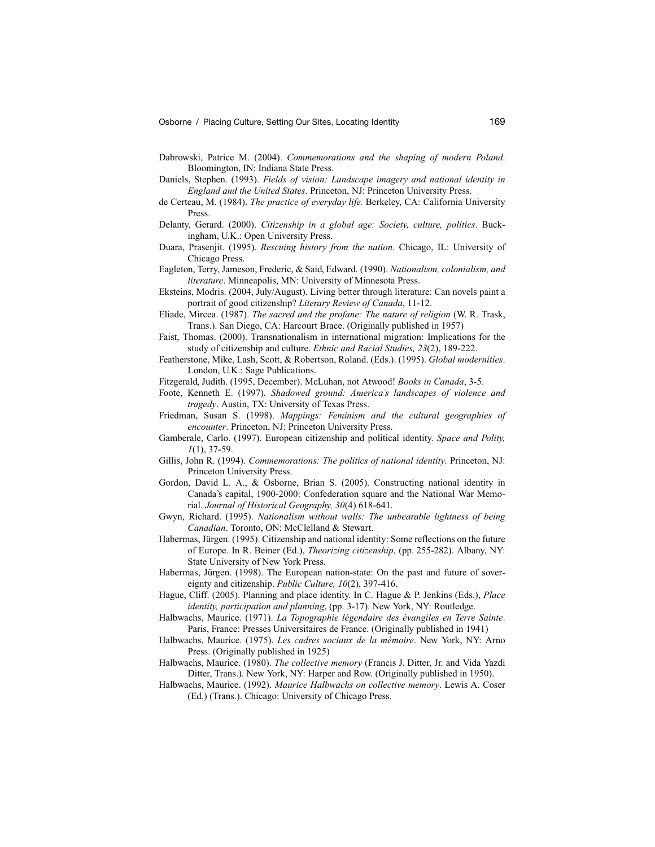- Dabrowski, Patrice M. (2004). *Commemorations and the shaping of modern Poland*. Bloomington, IN: Indiana State Press.
- Daniels, Stephen. (1993). *Fields of vision: Landscape imagery and national identity in England and the United States*. Princeton, NJ: Princeton University Press.
- de Certeau, M. (1984). *The practice of everyday life.* Berkeley, CA: California University Press.
- Delanty, Gerard. (2000). *Citizenship in a global age: Society, culture, politics*. Buckingham, U.K.: Open University Press.
- Duara, Prasenjit. (1995). *Rescuing history from the nation*. Chicago, IL: University of Chicago Press.
- Eagleton, Terry, Jameson, Frederic, & Said, Edward. (1990). *Nationalism, colonialism, and literature*. Minneapolis, MN: University of Minnesota Press.
- Eksteins, Modris. (2004, July/August). Living better through literature: Can novels paint a portrait of good citizenship? *Literary Review of Canada*, 11-12.
- Eliade, Mircea. (1987). *The sacred and the profane: The nature of religion* (W. R. Trask, Trans.). San Diego, CA: Harcourt Brace. (Originally published in 1957)
- Faist, Thomas. (2000). Transnationalism in international migration: Implications for the study of citizenship and culture. *Ethnic and Racial Studies, 23*(2), 189-222.
- Featherstone, Mike, Lash, Scott, & Robertson, Roland. (Eds.). (1995). *Global modernities*. London, U.K.: Sage Publications.
- Fitzgerald, Judith. (1995, December). McLuhan, not Atwood! *Books in Canada*, 3-5.
- Foote, Kenneth E. (1997). *Shadowed ground: America's landscapes of violence and tragedy*. Austin, TX: University of Texas Press.
- Friedman, Susan S. (1998). *Mappings: Feminism and the cultural geographies of encounter*. Princeton, NJ: Princeton University Press.
- Gamberale, Carlo. (1997). European citizenship and political identity. *Space and Polity, 1*(1), 37-59.
- Gillis, John R. (1994). *Commemorations: The politics of national identity*. Princeton, NJ: Princeton University Press.
- Gordon, David L. A., & Osborne, Brian S. (2005). Constructing national identity in Canada's capital, 1900-2000: Confederation square and the National War Memorial. *Journal of Historical Geography, 30*(4) 618-641.
- Gwyn, Richard. (1995). *Nationalism without walls: The unbearable lightness of being Canadian*. Toronto, ON: McClelland & Stewart.
- Habermas, Jürgen. (1995). Citizenship and national identity: Some reflections on the future of Europe. In R. Beiner (Ed.), *Theorizing citizenship*, (pp. 255-282). Albany, NY: State University of New York Press.
- Habermas, Jürgen. (1998). The European nation-state: On the past and future of sovereignty and citizenship. *Public Culture, 10*(2), 397-416.
- Hague, Cliff. (2005). Planning and place identity. In C. Hague & P. Jenkins (Eds.), *Place identity, participation and planning*, (pp. 3-17). New York, NY: Routledge.
- Halbwachs, Maurice. (1971). *La Topographie légendaire des évangiles en Terre Sainte*. Paris, France: Presses Universitaires de France. (Originally published in 1941)
- Halbwachs, Maurice. (1975). *Les cadres sociaux de la mémoire*. New York, NY: Arno Press. (Originally published in 1925)
- Halbwachs, Maurice. (1980). *The collective memory* (Francis J. Ditter, Jr. and Vida Yazdi Ditter, Trans.). New York, NY: Harper and Row. (Originally published in 1950).
- Halbwachs, Maurice. (1992). *Maurice Halbwachs on collective memory*. Lewis A. Coser (Ed.) (Trans.). Chicago: University of Chicago Press.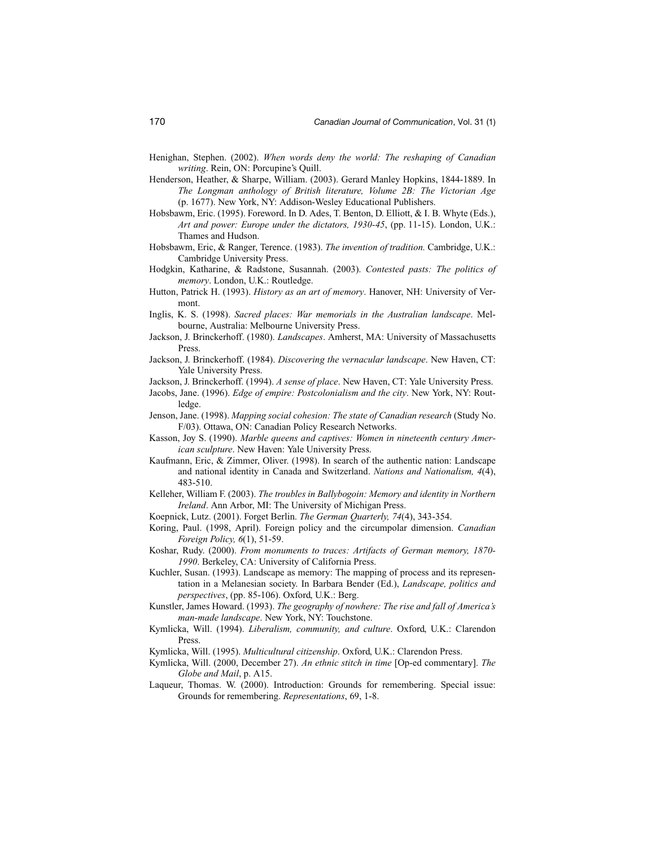- Henighan, Stephen. (2002). *When words deny the world: The reshaping of Canadian writing*. Rein, ON: Porcupine's Quill.
- Henderson, Heather, & Sharpe, William. (2003). Gerard Manley Hopkins, 1844-1889. In *The Longman anthology of British literature, Volume 2B: The Victorian Age* (p. 1677). New York, NY: Addison-Wesley Educational Publishers.
- Hobsbawm, Eric. (1995). Foreword. In D. Ades, T. Benton, D. Elliott, & I. B. Whyte (Eds.), *Art and power: Europe under the dictators, 1930-45*, (pp. 11-15). London, U.K.: Thames and Hudson.
- Hobsbawm, Eric, & Ranger, Terence. (1983). *The invention of tradition.* Cambridge, U.K.: Cambridge University Press.
- Hodgkin, Katharine, & Radstone, Susannah. (2003). *Contested pasts: The politics of memory*. London, U.K.: Routledge.
- Hutton, Patrick H. (1993). *History as an art of memory*. Hanover, NH: University of Vermont.
- Inglis, K. S. (1998). *Sacred places: War memorials in the Australian landscape*. Melbourne, Australia: Melbourne University Press.
- Jackson, J. Brinckerhoff. (1980). *Landscapes*. Amherst, MA: University of Massachusetts Press.
- Jackson, J. Brinckerhoff. (1984). *Discovering the vernacular landscape*. New Haven, CT: Yale University Press.
- Jackson, J. Brinckerhoff. (1994). *A sense of place*. New Haven, CT: Yale University Press.
- Jacobs, Jane. (1996). *Edge of empire: Postcolonialism and the city*. New York, NY: Routledge.
- Jenson, Jane. (1998). *Mapping social cohesion: The state of Canadian research* (Study No. F/03). Ottawa, ON: Canadian Policy Research Networks.
- Kasson, Joy S. (1990). *Marble queens and captives: Women in nineteenth century American sculpture*. New Haven: Yale University Press.
- Kaufmann, Eric, & Zimmer, Oliver. (1998). In search of the authentic nation: Landscape and national identity in Canada and Switzerland. *Nations and Nationalism, 4*(4), 483-510.
- Kelleher, William F. (2003). *The troubles in Ballybogoin: Memory and identity in Northern Ireland*. Ann Arbor, MI: The University of Michigan Press.
- Koepnick, Lutz. (2001). Forget Berlin. *The German Quarterly, 74*(4), 343-354.
- Koring, Paul. (1998, April). Foreign policy and the circumpolar dimension. *Canadian Foreign Policy, 6*(1), 51-59.
- Koshar, Rudy. (2000). *From monuments to traces: Artifacts of German memory, 1870- 1990*. Berkeley, CA: University of California Press.
- Kuchler, Susan. (1993). Landscape as memory: The mapping of process and its representation in a Melanesian society. In Barbara Bender (Ed.), *Landscape, politics and perspectives*, (pp. 85-106). Oxford, U.K.: Berg.
- Kunstler, James Howard. (1993). *The geography of nowhere: The rise and fall of America's man-made landscape*. New York, NY: Touchstone.
- Kymlicka, Will. (1994). *Liberalism, community, and culture*. Oxford, U.K.: Clarendon Press.
- Kymlicka, Will. (1995). *Multicultural citizenship*. Oxford, U.K.: Clarendon Press.
- Kymlicka, Will. (2000, December 27). *An ethnic stitch in time* [Op-ed commentary]. *The Globe and Mail*, p. A15.
- Laqueur, Thomas. W. (2000). Introduction: Grounds for remembering. Special issue: Grounds for remembering. *Representations*, 69, 1-8.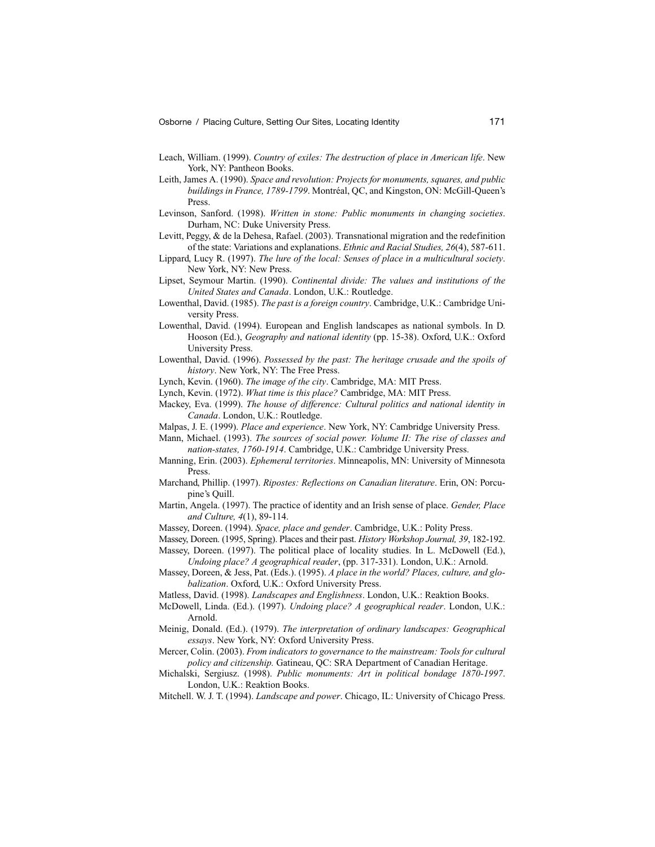- Leach, William. (1999). *Country of exiles: The destruction of place in American life*. New York, NY: Pantheon Books.
- Leith, James A. (1990). *Space and revolution: Projects for monuments, squares, and public buildings in France, 1789-1799*. Montréal, QC, and Kingston, ON: McGill-Queen's Press.
- Levinson, Sanford. (1998). *Written in stone: Public monuments in changing societies*. Durham, NC: Duke University Press.
- Levitt, Peggy, & de la Dehesa, Rafael. (2003). Transnational migration and the redefinition of the state: Variations and explanations. *Ethnic and Racial Studies, 26*(4), 587-611.
- Lippard, Lucy R. (1997). *The lure of the local: Senses of place in a multicultural society*. New York, NY: New Press.
- Lipset, Seymour Martin. (1990). *Continental divide: The values and institutions of the United States and Canada*. London, U.K.: Routledge.
- Lowenthal, David. (1985). *The past is a foreign country*. Cambridge, U.K.: Cambridge University Press.
- Lowenthal, David. (1994). European and English landscapes as national symbols. In D. Hooson (Ed.), *Geography and national identity* (pp. 15-38). Oxford, U.K.: Oxford University Press.
- Lowenthal, David. (1996). *Possessed by the past: The heritage crusade and the spoils of history*. New York, NY: The Free Press.
- Lynch, Kevin. (1960). *The image of the city*. Cambridge, MA: MIT Press.
- Lynch, Kevin. (1972). *What time is this place?* Cambridge, MA: MIT Press.
- Mackey, Eva. (1999). *The house of difference: Cultural politics and national identity in Canada*. London, U.K.: Routledge.
- Malpas, J. E. (1999). *Place and experience*. New York, NY: Cambridge University Press.
- Mann, Michael. (1993). *The sources of social power. Volume II: The rise of classes and nation-states, 1760-1914*. Cambridge, U.K.: Cambridge University Press.
- Manning, Erin. (2003). *Ephemeral territories*. Minneapolis, MN: University of Minnesota Press.
- Marchand, Phillip. (1997). *Ripostes: Reflections on Canadian literature*. Erin, ON: Porcupine's Quill.
- Martin, Angela. (1997). The practice of identity and an Irish sense of place. *Gender, Place and Culture, 4*(1), 89-114.
- Massey, Doreen. (1994). *Space, place and gender*. Cambridge, U.K.: Polity Press.
- Massey, Doreen. (1995, Spring). Places and their past. *History Workshop Journal, 39*, 182-192. Massey, Doreen. (1997). The political place of locality studies. In L. McDowell (Ed.),
- *Undoing place? A geographical reader*, (pp. 317-331). London, U.K.: Arnold. Massey, Doreen, & Jess, Pat. (Eds.). (1995). *A place in the world? Places, culture, and glo-*
- *balization*. Oxford, U.K.: Oxford University Press.
- Matless, David. (1998). *Landscapes and Englishness*. London, U.K.: Reaktion Books.
- McDowell, Linda. (Ed.). (1997). *Undoing place? A geographical reader*. London, U.K.: Arnold.
- Meinig, Donald. (Ed.). (1979). *The interpretation of ordinary landscapes: Geographical essays*. New York, NY: Oxford University Press.
- Mercer, Colin. (2003). *From indicators to governance to the mainstream: Tools for cultural policy and citizenship.* Gatineau, QC: SRA Department of Canadian Heritage.
- Michalski, Sergiusz. (1998). *Public monuments: Art in political bondage 1870-1997*. London, U.K.: Reaktion Books.
- Mitchell. W. J. T. (1994). *Landscape and power*. Chicago, IL: University of Chicago Press.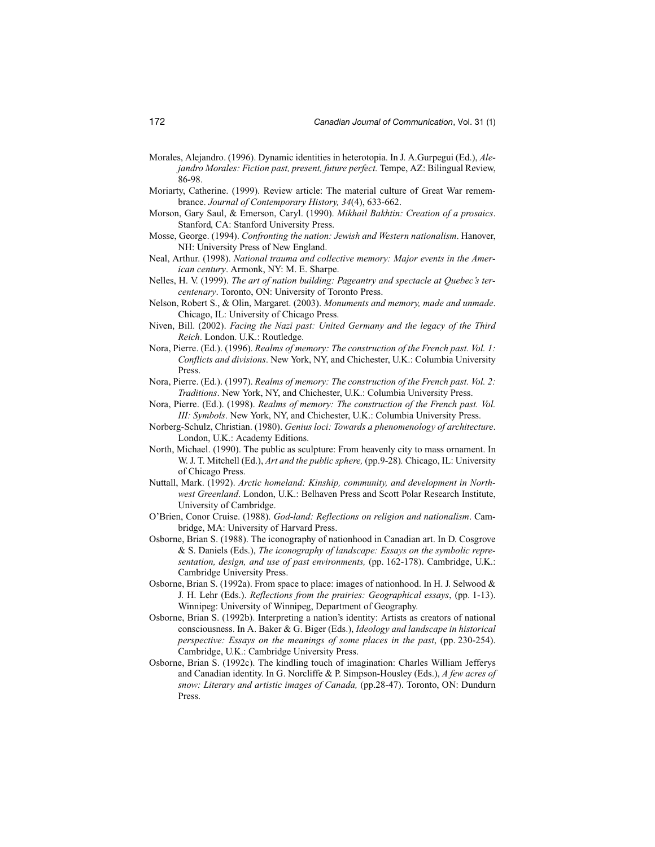- Morales, Alejandro. (1996). Dynamic identities in heterotopia. In J. A.Gurpegui (Ed.), *Alejandro Morales: Fiction past, present, future perfect.* Tempe, AZ: Bilingual Review, 86-98.
- Moriarty, Catherine. (1999). Review article: The material culture of Great War remembrance. *Journal of Contemporary History, 34*(4), 633-662.
- Morson, Gary Saul, & Emerson, Caryl. (1990). *Mikhail Bakhtin: Creation of a prosaics*. Stanford, CA: Stanford University Press.
- Mosse, George. (1994). *Confronting the nation: Jewish and Western nationalism*. Hanover, NH: University Press of New England.
- Neal, Arthur. (1998). *National trauma and collective memory: Major events in the American century*. Armonk, NY: M. E. Sharpe.
- Nelles, H. V. (1999). *The art of nation building: Pageantry and spectacle at Quebec's tercentenary*. Toronto, ON: University of Toronto Press.
- Nelson, Robert S., & Olin, Margaret. (2003). *Monuments and memory, made and unmade*. Chicago, IL: University of Chicago Press.
- Niven, Bill. (2002). *Facing the Nazi past: United Germany and the legacy of the Third Reich*. London. U.K.: Routledge.
- Nora, Pierre. (Ed.). (1996). *Realms of memory: The construction of the French past. Vol. 1: Conflicts and divisions*. New York, NY, and Chichester, U.K.: Columbia University Press.
- Nora, Pierre. (Ed.). (1997). *Realms of memory: The construction of the French past. Vol. 2: Traditions*. New York, NY, and Chichester, U.K.: Columbia University Press.
- Nora, Pierre. (Ed.). (1998). *Realms of memory: The construction of the French past. Vol. III: Symbols*. New York, NY, and Chichester, U.K.: Columbia University Press.
- Norberg-Schulz, Christian. (1980). *Genius loci: Towards a phenomenology of architecture*. London, U.K.: Academy Editions.
- North, Michael. (1990). The public as sculpture: From heavenly city to mass ornament. In W. J. T. Mitchell (Ed.), *Art and the public sphere,* (pp.9-28)*.* Chicago, IL: University of Chicago Press.
- Nuttall, Mark. (1992). *Arctic homeland: Kinship, community, and development in Northwest Greenland*. London, U.K.: Belhaven Press and Scott Polar Research Institute, University of Cambridge.
- O'Brien, Conor Cruise. (1988). *God-land: Reflections on religion and nationalism*. Cambridge, MA: University of Harvard Press.
- Osborne, Brian S. (1988). The iconography of nationhood in Canadian art. In D. Cosgrove & S. Daniels (Eds.), *The iconography of landscape: Essays on the symbolic representation, design, and use of past environments,* (pp. 162-178). Cambridge, U.K.: Cambridge University Press.
- Osborne, Brian S. (1992a). From space to place: images of nationhood. In H. J. Selwood  $\&$ J. H. Lehr (Eds.). *Reflections from the prairies: Geographical essays*, (pp. 1-13). Winnipeg: University of Winnipeg, Department of Geography.
- Osborne, Brian S. (1992b). Interpreting a nation's identity: Artists as creators of national consciousness. In A. Baker & G. Biger (Eds.), *Ideology and landscape in historical perspective: Essays on the meanings of some places in the past*, (pp. 230-254). Cambridge, U.K.: Cambridge University Press.
- Osborne, Brian S. (1992c). The kindling touch of imagination: Charles William Jefferys and Canadian identity. In G. Norcliffe & P. Simpson-Housley (Eds.), *A few acres of snow: Literary and artistic images of Canada,* (pp.28-47). Toronto, ON: Dundurn Press.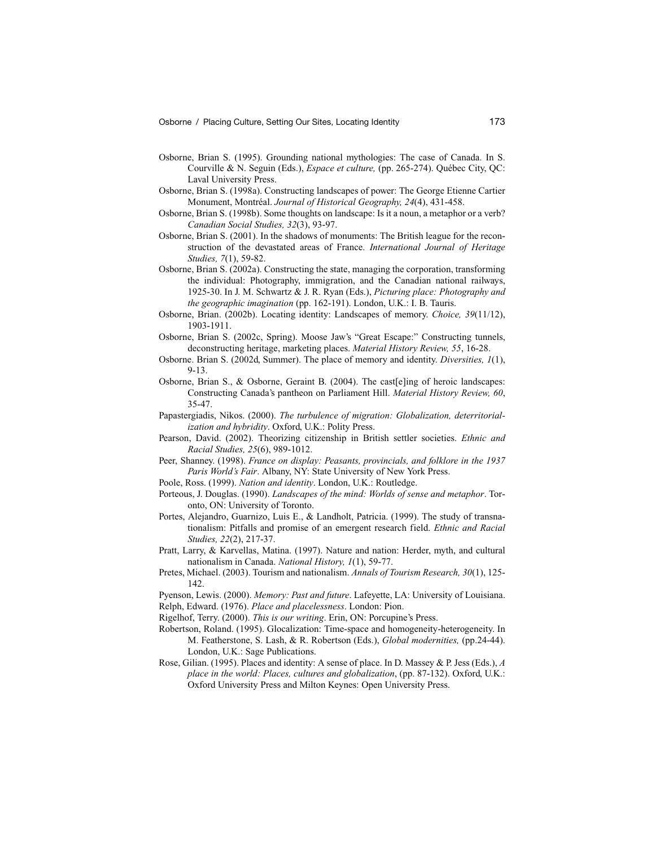- Osborne, Brian S. (1995). Grounding national mythologies: The case of Canada. In S. Courville & N. Seguin (Eds.), *Espace et culture,* (pp. 265-274). Québec City, QC: Laval University Press.
- Osborne, Brian S. (1998a). Constructing landscapes of power: The George Etienne Cartier Monument, Montréal. *Journal of Historical Geography, 24*(4), 431-458.
- Osborne, Brian S. (1998b). Some thoughts on landscape: Is it a noun, a metaphor or a verb? *Canadian Social Studies, 32*(3), 93-97.
- Osborne, Brian S. (2001). In the shadows of monuments: The British league for the reconstruction of the devastated areas of France. *International Journal of Heritage Studies, 7*(1), 59-82.
- Osborne, Brian S. (2002a). Constructing the state, managing the corporation, transforming the individual: Photography, immigration, and the Canadian national railways, 1925-30. In J. M. Schwartz & J. R. Ryan (Eds.), *Picturing place: Photography and the geographic imagination* (pp. 162-191). London, U.K.: I. B. Tauris.
- Osborne, Brian. (2002b). Locating identity: Landscapes of memory. *Choice, 39*(11/12), 1903-1911.
- Osborne, Brian S. (2002c, Spring). Moose Jaw's "Great Escape:" Constructing tunnels, deconstructing heritage, marketing places. *Material History Review, 55*, 16-28.
- Osborne. Brian S. (2002d, Summer). The place of memory and identity. *Diversities, 1*(1), 9-13.
- Osborne, Brian S., & Osborne, Geraint B. (2004). The cast[e]ing of heroic landscapes: Constructing Canada's pantheon on Parliament Hill. *Material History Review, 60*, 35-47.
- Papastergiadis, Nikos. (2000). *The turbulence of migration: Globalization, deterritorialization and hybridity*. Oxford, U.K.: Polity Press.
- Pearson, David. (2002). Theorizing citizenship in British settler societies. *Ethnic and Racial Studies, 25*(6), 989-1012.
- Peer, Shanney. (1998). *France on display: Peasants, provincials, and folklore in the 1937 Paris World's Fair*. Albany, NY: State University of New York Press.
- Poole, Ross. (1999). *Nation and identity*. London, U.K.: Routledge.
- Porteous, J. Douglas. (1990). *Landscapes of the mind: Worlds of sense and metaphor*. Toronto, ON: University of Toronto.
- Portes, Alejandro, Guarnizo, Luis E., & Landholt, Patricia. (1999). The study of transnationalism: Pitfalls and promise of an emergent research field. *Ethnic and Racial Studies, 22*(2), 217-37.
- Pratt, Larry, & Karvellas, Matina. (1997). Nature and nation: Herder, myth, and cultural nationalism in Canada. *National History, 1*(1), 59-77.
- Pretes, Michael. (2003). Tourism and nationalism. *Annals of Tourism Research, 30*(1), 125- 142.
- Pyenson, Lewis. (2000). *Memory: Past and future*. Lafeyette, LA: University of Louisiana. Relph, Edward. (1976). *Place and placelessness*. London: Pion.
- Rigelhof, Terry. (2000). *This is our writing*. Erin, ON: Porcupine's Press.
- Robertson, Roland. (1995). Glocalization: Time-space and homogeneity-heterogeneity. In M. Featherstone, S. Lash, & R. Robertson (Eds.), *Global modernities,* (pp.24-44). London, U.K.: Sage Publications.
- Rose, Gilian. (1995). Places and identity: A sense of place. In D. Massey & P. Jess (Eds.), *A place in the world: Places, cultures and globalization*, (pp. 87-132). Oxford, U.K.: Oxford University Press and Milton Keynes: Open University Press.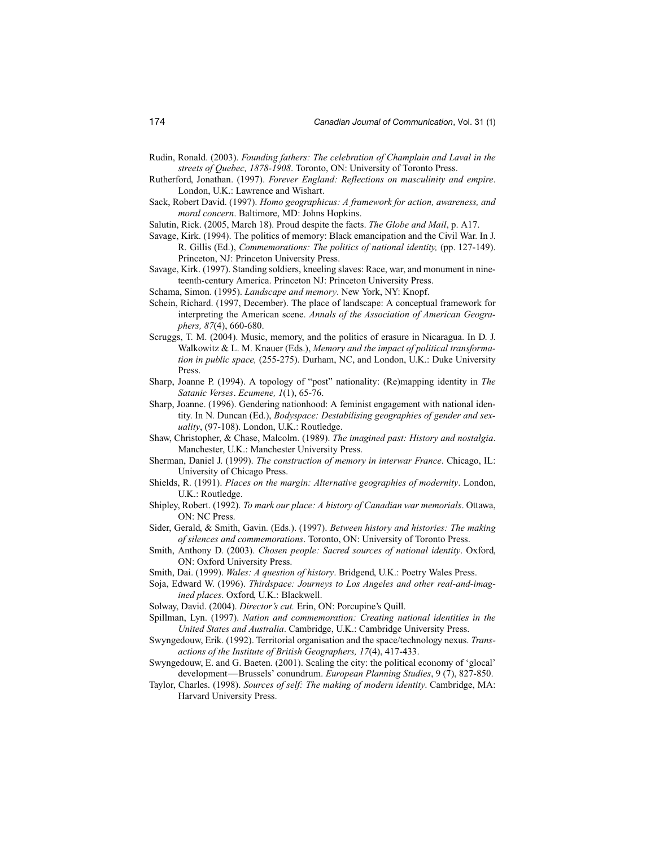- Rudin, Ronald. (2003). *Founding fathers: The celebration of Champlain and Laval in the streets of Quebec, 1878-1908*. Toronto, ON: University of Toronto Press.
- Rutherford, Jonathan. (1997). *Forever England: Reflections on masculinity and empire*. London, U.K.: Lawrence and Wishart.
- Sack, Robert David. (1997). *Homo geographicus: A framework for action, awareness, and moral concern*. Baltimore, MD: Johns Hopkins.
- Salutin, Rick. (2005, March 18). Proud despite the facts. *The Globe and Mail*, p. A17.
- Savage, Kirk. (1994). The politics of memory: Black emancipation and the Civil War. In J. R. Gillis (Ed.), *Commemorations: The politics of national identity,* (pp. 127-149). Princeton, NJ: Princeton University Press.
- Savage, Kirk. (1997). Standing soldiers, kneeling slaves: Race, war, and monument in nineteenth-century America. Princeton NJ: Princeton University Press.
- Schama, Simon. (1995). *Landscape and memory*. New York, NY: Knopf.
- Schein, Richard. (1997, December). The place of landscape: A conceptual framework for interpreting the American scene. *Annals of the Association of American Geographers, 87*(4), 660-680.
- Scruggs, T. M. (2004). Music, memory, and the politics of erasure in Nicaragua. In D. J. Walkowitz & L. M. Knauer (Eds.), *Memory and the impact of political transformation in public space,* (255-275). Durham, NC, and London, U.K.: Duke University Press.
- Sharp, Joanne P. (1994). A topology of "post" nationality: (Re)mapping identity in *The Satanic Verses*. *Ecumene, 1*(1), 65-76.
- Sharp, Joanne. (1996). Gendering nationhood: A feminist engagement with national identity. In N. Duncan (Ed.), *Bodyspace: Destabilising geographies of gender and sexuality*, (97-108). London, U.K.: Routledge.
- Shaw, Christopher, & Chase, Malcolm. (1989). *The imagined past: History and nostalgia*. Manchester, U.K.: Manchester University Press.
- Sherman, Daniel J. (1999). *The construction of memory in interwar France*. Chicago, IL: University of Chicago Press.
- Shields, R. (1991). *Places on the margin: Alternative geographies of modernity*. London, U.K.: Routledge.
- Shipley, Robert. (1992). *To mark our place: A history of Canadian war memorials*. Ottawa, ON: NC Press.
- Sider, Gerald, & Smith, Gavin. (Eds.). (1997). *Between history and histories: The making of silences and commemorations*. Toronto, ON: University of Toronto Press.
- Smith, Anthony D. (2003). *Chosen people: Sacred sources of national identity*. Oxford, ON: Oxford University Press.
- Smith, Dai. (1999). *Wales: A question of history*. Bridgend, U.K.: Poetry Wales Press.
- Soja, Edward W. (1996). *Thirdspace: Journeys to Los Angeles and other real-and-imagined places*. Oxford, U.K.: Blackwell.
- Solway, David. (2004). *Director's cut.* Erin, ON: Porcupine's Quill.
- Spillman, Lyn. (1997). *Nation and commemoration: Creating national identities in the United States and Australia*. Cambridge, U.K.: Cambridge University Press.
- Swyngedouw, Erik. (1992). Territorial organisation and the space/technology nexus. *Transactions of the Institute of British Geographers, 17*(4), 417-433.
- Swyngedouw, E. and G. Baeten. (2001). Scaling the city: the political economy of 'glocal' development—Brussels' conundrum. *European Planning Studies*, 9 (7), 827-850.
- Taylor, Charles. (1998). *Sources of self: The making of modern identity*. Cambridge, MA: Harvard University Press.